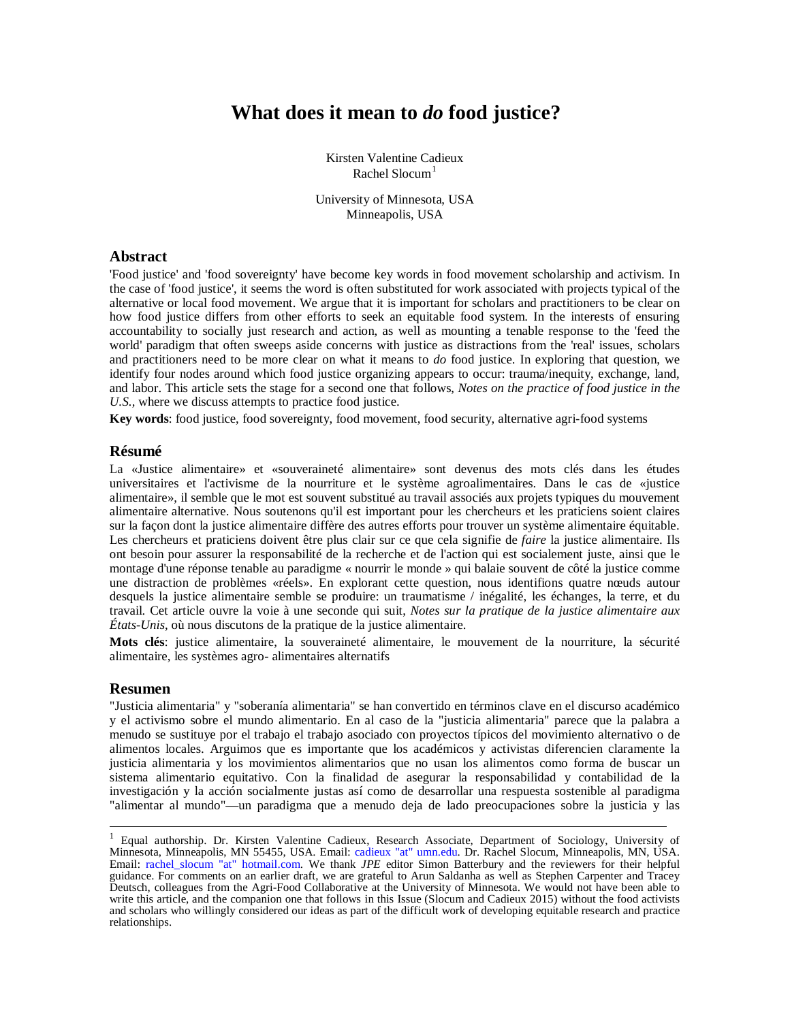# **What does it mean to** *do* **food justice?**

Kirsten Valentine Cadieux Rachel Slocum $<sup>1</sup>$  $<sup>1</sup>$  $<sup>1</sup>$ </sup>

University of Minnesota, USA Minneapolis, USA

### **Abstract**

'Food justice' and 'food sovereignty' have become key words in food movement scholarship and activism. In the case of 'food justice', it seems the word is often substituted for work associated with projects typical of the alternative or local food movement. We argue that it is important for scholars and practitioners to be clear on how food justice differs from other efforts to seek an equitable food system. In the interests of ensuring accountability to socially just research and action, as well as mounting a tenable response to the 'feed the world' paradigm that often sweeps aside concerns with justice as distractions from the 'real' issues, scholars and practitioners need to be more clear on what it means to *do* food justice. In exploring that question, we identify four nodes around which food justice organizing appears to occur: trauma/inequity, exchange, land, and labor. This article sets the stage for a second one that follows, *Notes on the practice of food justice in the U.S.,* where we discuss attempts to practice food justice.

**Key words**: food justice, food sovereignty, food movement, food security, alternative agri-food systems

### **Résumé**

La «Justice alimentaire» et «souveraineté alimentaire» sont devenus des mots clés dans les études universitaires et l'activisme de la nourriture et le système agroalimentaires. Dans le cas de «justice alimentaire», il semble que le mot est souvent substitué au travail associés aux projets typiques du mouvement alimentaire alternative. Nous soutenons qu'il est important pour les chercheurs et les praticiens soient claires sur la façon dont la justice alimentaire diffère des autres efforts pour trouver un système alimentaire équitable. Les chercheurs et praticiens doivent être plus clair sur ce que cela signifie de *faire* la justice alimentaire. Ils ont besoin pour assurer la responsabilité de la recherche et de l'action qui est socialement juste, ainsi que le montage d'une réponse tenable au paradigme « nourrir le monde » qui balaie souvent de côté la justice comme une distraction de problèmes «réels». En explorant cette question, nous identifions quatre nœuds autour desquels la justice alimentaire semble se produire: un traumatisme / inégalité, les échanges, la terre, et du travail. Cet article ouvre la voie à une seconde qui suit, *Notes sur la pratique de la justice alimentaire aux États-Unis*, où nous discutons de la pratique de la justice alimentaire.

**Mots clés**: justice alimentaire, la souveraineté alimentaire, le mouvement de la nourriture, la sécurité alimentaire, les systèmes agro- alimentaires alternatifs

### **Resumen**

-

"Justicia alimentaria" y "soberanía alimentaria" se han convertido en términos clave en el discurso académico y el activismo sobre el mundo alimentario. En al caso de la "justicia alimentaria" parece que la palabra a menudo se sustituye por el trabajo el trabajo asociado con proyectos típicos del movimiento alternativo o de alimentos locales. Arguimos que es importante que los académicos y activistas diferencien claramente la justicia alimentaria y los movimientos alimentarios que no usan los alimentos como forma de buscar un sistema alimentario equitativo. Con la finalidad de asegurar la responsabilidad y contabilidad de la investigación y la acción socialmente justas así como de desarrollar una respuesta sostenible al paradigma "alimentar al mundo"—un paradigma que a menudo deja de lado preocupaciones sobre la justicia y las

<span id="page-0-0"></span><sup>1</sup> Equal authorship. Dr. Kirsten Valentine Cadieux, Research Associate, Department of Sociology, University of Minnesota, Minneapolis, MN 55455, USA. Email: cadieux "at" umn.edu. Dr. Rachel Slocum, Minneapolis, MN, USA. Email: rachel\_slocum "at" hotmail.com. We thank *JPE* editor Simon Batterbury and the reviewers for their helpful guidance. For comments on an earlier draft, we are grateful to Arun Saldanha as well as Stephen Carpenter and Tracey Deutsch, colleagues from the Agri-Food Collaborative at the University of Minnesota. We would not have been able to write this article, and the companion one that follows in this Issue (Slocum and Cadieux 2015) without the food activists and scholars who willingly considered our ideas as part of the difficult work of developing equitable research and practice relationships.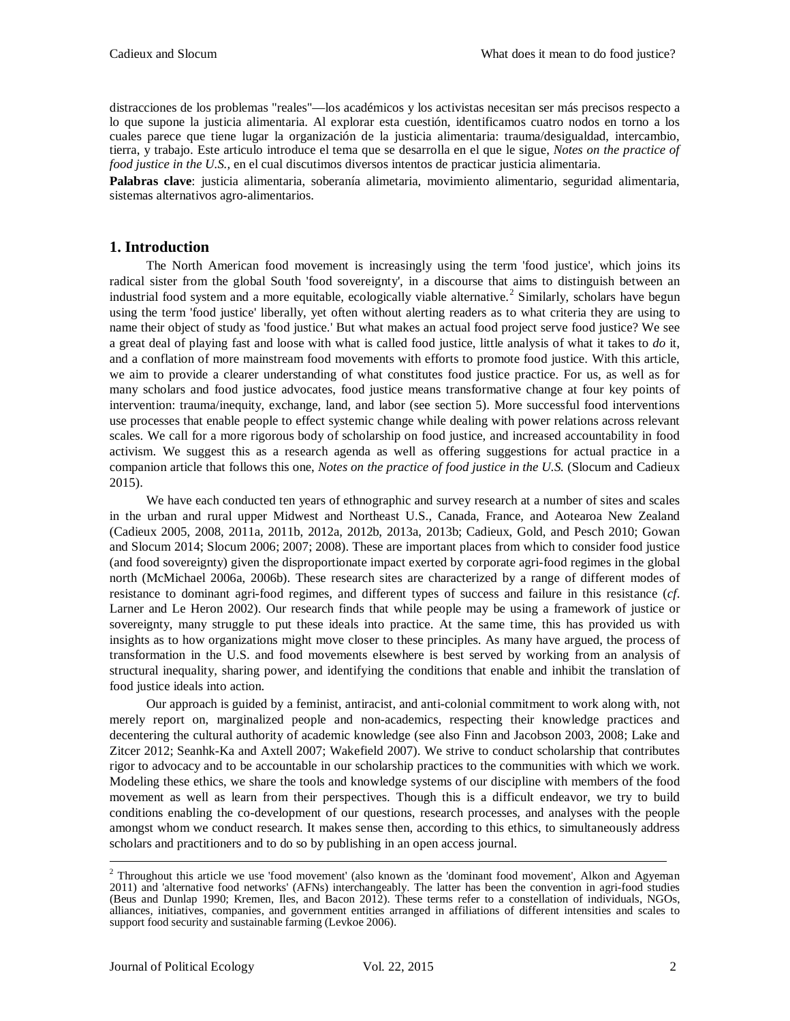distracciones de los problemas "reales"—los académicos y los activistas necesitan ser más precisos respecto a lo que supone la justicia alimentaria. Al explorar esta cuestión, identificamos cuatro nodos en torno a los cuales parece que tiene lugar la organización de la justicia alimentaria: trauma/desigualdad, intercambio, tierra, y trabajo. Este articulo introduce el tema que se desarrolla en el que le sigue, *Notes on the practice of food justice in the U.S.,* en el cual discutimos diversos intentos de practicar justicia alimentaria.

**Palabras clave**: justicia alimentaria, soberanía alimetaria, movimiento alimentario, seguridad alimentaria, sistemas alternativos agro-alimentarios.

### **1. Introduction**

The North American food movement is increasingly using the term 'food justice', which joins its radical sister from the global South 'food sovereignty', in a discourse that aims to distinguish between an industrial food system and a more equitable, ecologically viable alternative.<sup>[2](#page-1-0)</sup> Similarly, scholars have begun using the term 'food justice' liberally, yet often without alerting readers as to what criteria they are using to name their object of study as 'food justice.' But what makes an actual food project serve food justice? We see a great deal of playing fast and loose with what is called food justice, little analysis of what it takes to *do* it, and a conflation of more mainstream food movements with efforts to promote food justice. With this article, we aim to provide a clearer understanding of what constitutes food justice practice. For us, as well as for many scholars and food justice advocates, food justice means transformative change at four key points of intervention: trauma/inequity, exchange, land, and labor (see section 5). More successful food interventions use processes that enable people to effect systemic change while dealing with power relations across relevant scales. We call for a more rigorous body of scholarship on food justice, and increased accountability in food activism. We suggest this as a research agenda as well as offering suggestions for actual practice in a companion article that follows this one, *Notes on the practice of food justice in the U.S.* (Slocum and Cadieux 2015).

We have each conducted ten years of ethnographic and survey research at a number of sites and scales in the urban and rural upper Midwest and Northeast U.S., Canada, France, and Aotearoa New Zealand (Cadieux 2005, 2008, 2011a, 2011b, 2012a, 2012b, 2013a, 2013b; Cadieux, Gold, and Pesch 2010; Gowan and Slocum 2014; Slocum 2006; 2007; 2008). These are important places from which to consider food justice (and food sovereignty) given the disproportionate impact exerted by corporate agri-food regimes in the global north (McMichael 2006a, 2006b). These research sites are characterized by a range of different modes of resistance to dominant agri-food regimes, and different types of success and failure in this resistance (*cf*. Larner and Le Heron 2002). Our research finds that while people may be using a framework of justice or sovereignty, many struggle to put these ideals into practice. At the same time, this has provided us with insights as to how organizations might move closer to these principles. As many have argued, the process of transformation in the U.S. and food movements elsewhere is best served by working from an analysis of structural inequality, sharing power, and identifying the conditions that enable and inhibit the translation of food justice ideals into action.

Our approach is guided by a feminist, antiracist, and anti-colonial commitment to work along with, not merely report on, marginalized people and non-academics, respecting their knowledge practices and decentering the cultural authority of academic knowledge (see also Finn and Jacobson 2003, 2008; Lake and Zitcer 2012; Seanhk-Ka and Axtell 2007; Wakefield 2007). We strive to conduct scholarship that contributes rigor to advocacy and to be accountable in our scholarship practices to the communities with which we work. Modeling these ethics, we share the tools and knowledge systems of our discipline with members of the food movement as well as learn from their perspectives. Though this is a difficult endeavor, we try to build conditions enabling the co-development of our questions, research processes, and analyses with the people amongst whom we conduct research. It makes sense then, according to this ethics, to simultaneously address scholars and practitioners and to do so by publishing in an open access journal.

<span id="page-1-0"></span><sup>&</sup>lt;sup>2</sup> Throughout this article we use 'food movement' (also known as the 'dominant food movement', Alkon and Agyeman 2011) and 'alternative food networks' (AFNs) interchangeably. The latter has been the convention in agri-food studies (Beus and Dunlap 1990; Kremen, Iles, and Bacon 2012). These terms refer to a constellation of individuals, NGOs, alliances, initiatives, companies, and government entities arranged in affiliations of different intensities and scales to support food security and sustainable farming (Levkoe 2006).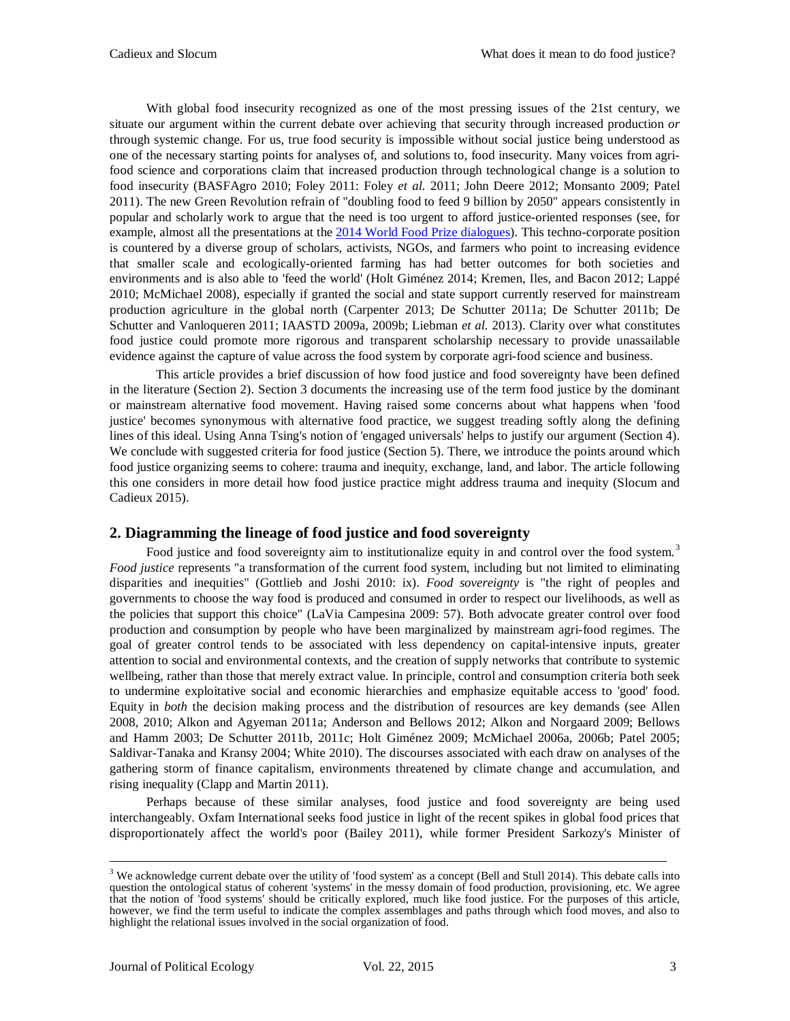With global food insecurity recognized as one of the most pressing issues of the 21st century, we situate our argument within the current debate over achieving that security through increased production *or* through systemic change. For us, true food security is impossible without social justice being understood as one of the necessary starting points for analyses of, and solutions to, food insecurity. Many voices from agrifood science and corporations claim that increased production through technological change is a solution to food insecurity (BASFAgro 2010; Foley 2011: Foley *et al.* 2011; John Deere 2012; Monsanto 2009; Patel 2011). The new Green Revolution refrain of "doubling food to feed 9 billion by 2050" appears consistently in popular and scholarly work to argue that the need is too urgent to afford justice-oriented responses (see, for example, almost all the presentations at the [2014 World Food Prize dialogues\)](http://www.worldfoodprize.org/en/borlaug_dialogue/2014_borlaug_dialogue/agenda/). This techno-corporate position is countered by a diverse group of scholars, activists, NGOs, and farmers who point to increasing evidence that smaller scale and ecologically-oriented farming has had better outcomes for both societies and environments and is also able to 'feed the world' (Holt Giménez 2014; Kremen, Iles, and Bacon 2012; Lappé 2010; McMichael 2008), especially if granted the social and state support currently reserved for mainstream production agriculture in the global north (Carpenter 2013; De Schutter 2011a; De Schutter 2011b; De Schutter and Vanloqueren 2011; IAASTD 2009a, 2009b; Liebman *et al.* 2013). Clarity over what constitutes food justice could promote more rigorous and transparent scholarship necessary to provide unassailable evidence against the capture of value across the food system by corporate agri-food science and business.

This article provides a brief discussion of how food justice and food sovereignty have been defined in the literature (Section 2). Section 3 documents the increasing use of the term food justice by the dominant or mainstream alternative food movement. Having raised some concerns about what happens when 'food justice' becomes synonymous with alternative food practice, we suggest treading softly along the defining lines of this ideal. Using Anna Tsing's notion of 'engaged universals' helps to justify our argument (Section 4). We conclude with suggested criteria for food justice (Section 5). There, we introduce the points around which food justice organizing seems to cohere: trauma and inequity, exchange, land, and labor. The article following this one considers in more detail how food justice practice might address trauma and inequity (Slocum and Cadieux 2015).

## **2. Diagramming the lineage of food justice and food sovereignty**

Food justice and food sovereignty aim to institutionalize equity in and control over the food system.<sup>[3](#page-2-0)</sup> *Food justice* represents "a transformation of the current food system, including but not limited to eliminating disparities and inequities" (Gottlieb and Joshi 2010: ix). *Food sovereignty* is "the right of peoples and governments to choose the way food is produced and consumed in order to respect our livelihoods, as well as the policies that support this choice" (LaVia Campesina 2009: 57). Both advocate greater control over food production and consumption by people who have been marginalized by mainstream agri-food regimes. The goal of greater control tends to be associated with less dependency on capital-intensive inputs, greater attention to social and environmental contexts, and the creation of supply networks that contribute to systemic wellbeing, rather than those that merely extract value. In principle, control and consumption criteria both seek to undermine exploitative social and economic hierarchies and emphasize equitable access to 'good' food. Equity in *both* the decision making process and the distribution of resources are key demands (see Allen 2008, 2010; Alkon and Agyeman 2011a; Anderson and Bellows 2012; Alkon and Norgaard 2009; Bellows and Hamm 2003; De Schutter 2011b, 2011c; Holt Giménez 2009; McMichael 2006a, 2006b; Patel 2005; Saldivar-Tanaka and Kransy 2004; White 2010). The discourses associated with each draw on analyses of the gathering storm of finance capitalism, environments threatened by climate change and accumulation, and rising inequality (Clapp and Martin 2011).

Perhaps because of these similar analyses, food justice and food sovereignty are being used interchangeably. Oxfam International seeks food justice in light of the recent spikes in global food prices that disproportionately affect the world's poor (Bailey 2011), while former President Sarkozy's Minister of

<span id="page-2-0"></span> $3$  We acknowledge current debate over the utility of 'food system' as a concept (Bell and Stull 2014). This debate calls into question the ontological status of coherent 'systems' in the messy domain of food production, provisioning, etc. We agree that the notion of 'food systems' should be critically explored, much like food justice. For the purposes of this article, however, we find the term useful to indicate the complex assemblages and paths through which food moves, and also to highlight the relational issues involved in the social organization of food.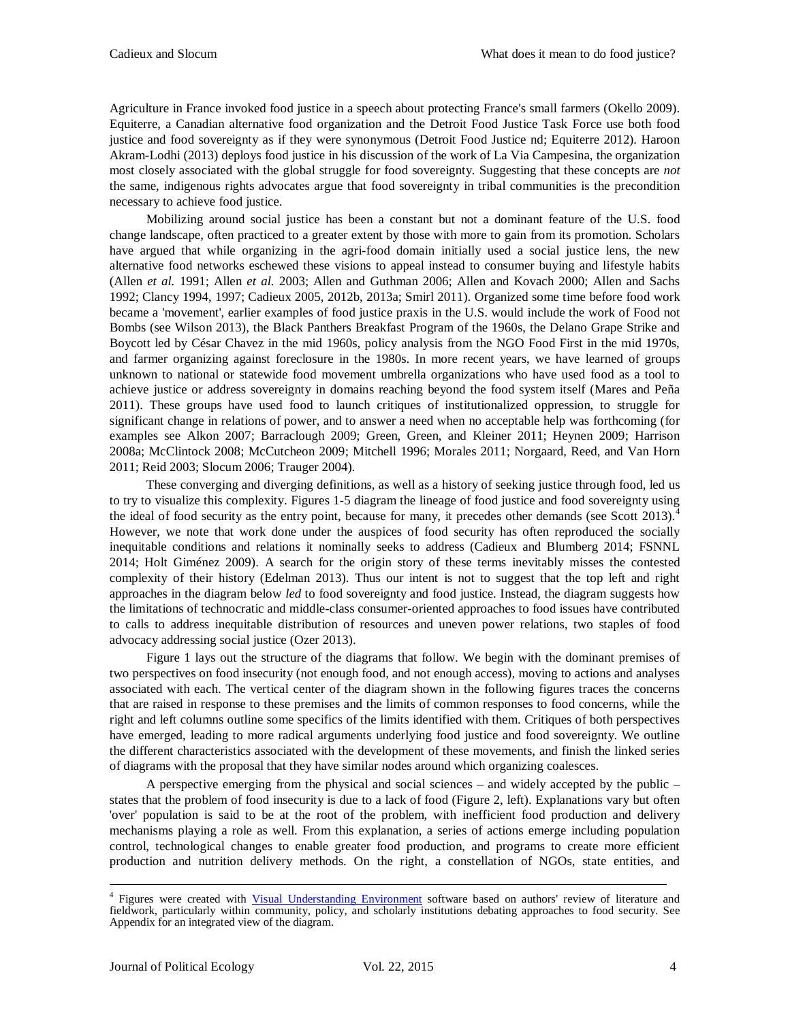Agriculture in France invoked food justice in a speech about protecting France's small farmers (Okello 2009). Equiterre, a Canadian alternative food organization and the Detroit Food Justice Task Force use both food justice and food sovereignty as if they were synonymous (Detroit Food Justice nd; Equiterre 2012). Haroon Akram-Lodhi (2013) deploys food justice in his discussion of the work of La Via Campesina, the organization most closely associated with the global struggle for food sovereignty. Suggesting that these concepts are *not* the same, indigenous rights advocates argue that food sovereignty in tribal communities is the precondition necessary to achieve food justice.

Mobilizing around social justice has been a constant but not a dominant feature of the U.S. food change landscape, often practiced to a greater extent by those with more to gain from its promotion. Scholars have argued that while organizing in the agri-food domain initially used a social justice lens, the new alternative food networks eschewed these visions to appeal instead to consumer buying and lifestyle habits (Allen *et al.* 1991; Allen *et al.* 2003; Allen and Guthman 2006; Allen and Kovach 2000; Allen and Sachs 1992; Clancy 1994, 1997; Cadieux 2005, 2012b, 2013a; Smirl 2011). Organized some time before food work became a 'movement', earlier examples of food justice praxis in the U.S. would include the work of Food not Bombs (see Wilson 2013), the Black Panthers Breakfast Program of the 1960s, the Delano Grape Strike and Boycott led by César Chavez in the mid 1960s, policy analysis from the NGO Food First in the mid 1970s, and farmer organizing against foreclosure in the 1980s. In more recent years, we have learned of groups unknown to national or statewide food movement umbrella organizations who have used food as a tool to achieve justice or address sovereignty in domains reaching beyond the food system itself (Mares and Peña 2011). These groups have used food to launch critiques of institutionalized oppression, to struggle for significant change in relations of power, and to answer a need when no acceptable help was forthcoming (for examples see Alkon 2007; Barraclough 2009; Green, Green, and Kleiner 2011; Heynen 2009; Harrison 2008a; McClintock 2008; McCutcheon 2009; Mitchell 1996; Morales 2011; Norgaard, Reed, and Van Horn 2011; Reid 2003; Slocum 2006; Trauger 2004).

These converging and diverging definitions, as well as a history of seeking justice through food, led us to try to visualize this complexity. Figures 1-5 diagram the lineage of food justice and food sovereignty using the ideal of food security as the entry point, because for many, it precedes other demands (see Scott 2013).<sup>[4](#page-3-0)</sup> However, we note that work done under the auspices of food security has often reproduced the socially inequitable conditions and relations it nominally seeks to address (Cadieux and Blumberg 2014; FSNNL 2014; Holt Giménez 2009). A search for the origin story of these terms inevitably misses the contested complexity of their history (Edelman 2013). Thus our intent is not to suggest that the top left and right approaches in the diagram below *led* to food sovereignty and food justice. Instead, the diagram suggests how the limitations of technocratic and middle-class consumer-oriented approaches to food issues have contributed to calls to address inequitable distribution of resources and uneven power relations, two staples of food advocacy addressing social justice (Ozer 2013).

Figure 1 lays out the structure of the diagrams that follow. We begin with the dominant premises of two perspectives on food insecurity (not enough food, and not enough access), moving to actions and analyses associated with each. The vertical center of the diagram shown in the following figures traces the concerns that are raised in response to these premises and the limits of common responses to food concerns, while the right and left columns outline some specifics of the limits identified with them. Critiques of both perspectives have emerged, leading to more radical arguments underlying food justice and food sovereignty. We outline the different characteristics associated with the development of these movements, and finish the linked series of diagrams with the proposal that they have similar nodes around which organizing coalesces.

A perspective emerging from the physical and social sciences – and widely accepted by the public – states that the problem of food insecurity is due to a lack of food (Figure 2, left). Explanations vary but often 'over' population is said to be at the root of the problem, with inefficient food production and delivery mechanisms playing a role as well. From this explanation, a series of actions emerge including population control, technological changes to enable greater food production, and programs to create more efficient production and nutrition delivery methods. On the right, a constellation of NGOs, state entities, and

<span id="page-3-0"></span>Figures were created with [Visual Understanding Environment](http://vue.tufts.edu/) software based on authors' review of literature and fieldwork, particularly within community, policy, and scholarly institutions debating approaches to food security. See Appendix for an integrated view of the diagram.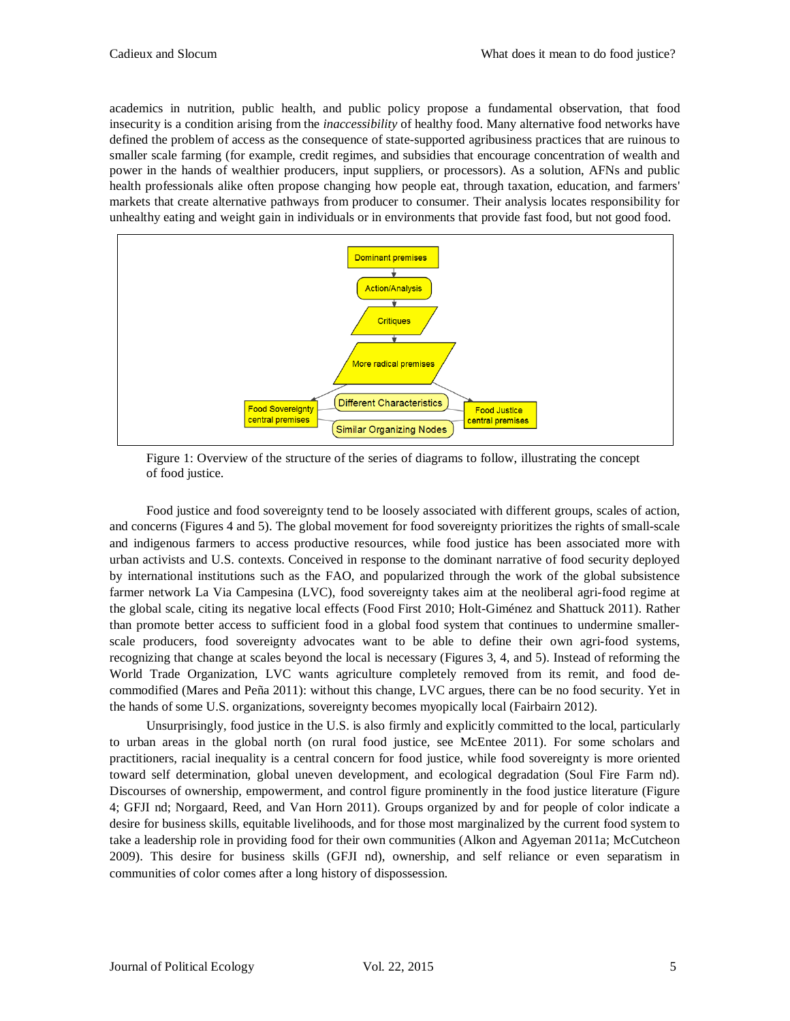academics in nutrition, public health, and public policy propose a fundamental observation, that food insecurity is a condition arising from the *inaccessibility* of healthy food. Many alternative food networks have defined the problem of access as the consequence of state-supported agribusiness practices that are ruinous to smaller scale farming (for example, credit regimes, and subsidies that encourage concentration of wealth and power in the hands of wealthier producers, input suppliers, or processors). As a solution, AFNs and public health professionals alike often propose changing how people eat, through taxation, education, and farmers' markets that create alternative pathways from producer to consumer. Their analysis locates responsibility for unhealthy eating and weight gain in individuals or in environments that provide fast food, but not good food.



Figure 1: Overview of the structure of the series of diagrams to follow, illustrating the concept of food justice.

Food justice and food sovereignty tend to be loosely associated with different groups, scales of action, and concerns (Figures 4 and 5). The global movement for food sovereignty prioritizes the rights of small-scale and indigenous farmers to access productive resources, while food justice has been associated more with urban activists and U.S. contexts. Conceived in response to the dominant narrative of food security deployed by international institutions such as the FAO, and popularized through the work of the global subsistence farmer network La Via Campesina (LVC), food sovereignty takes aim at the neoliberal agri-food regime at the global scale, citing its negative local effects (Food First 2010; Holt-Giménez and Shattuck 2011). Rather than promote better access to sufficient food in a global food system that continues to undermine smallerscale producers, food sovereignty advocates want to be able to define their own agri-food systems, recognizing that change at scales beyond the local is necessary (Figures 3, 4, and 5). Instead of reforming the World Trade Organization, LVC wants agriculture completely removed from its remit, and food decommodified (Mares and Peña 2011): without this change, LVC argues, there can be no food security. Yet in the hands of some U.S. organizations, sovereignty becomes myopically local (Fairbairn 2012).

Unsurprisingly, food justice in the U.S. is also firmly and explicitly committed to the local, particularly to urban areas in the global north (on rural food justice, see McEntee 2011). For some scholars and practitioners, racial inequality is a central concern for food justice, while food sovereignty is more oriented toward self determination, global uneven development, and ecological degradation (Soul Fire Farm nd). Discourses of ownership, empowerment, and control figure prominently in the food justice literature (Figure 4; GFJI nd; Norgaard, Reed, and Van Horn 2011). Groups organized by and for people of color indicate a desire for business skills, equitable livelihoods, and for those most marginalized by the current food system to take a leadership role in providing food for their own communities (Alkon and Agyeman 2011a; McCutcheon 2009). This desire for business skills (GFJI nd), ownership, and self reliance or even separatism in communities of color comes after a long history of dispossession.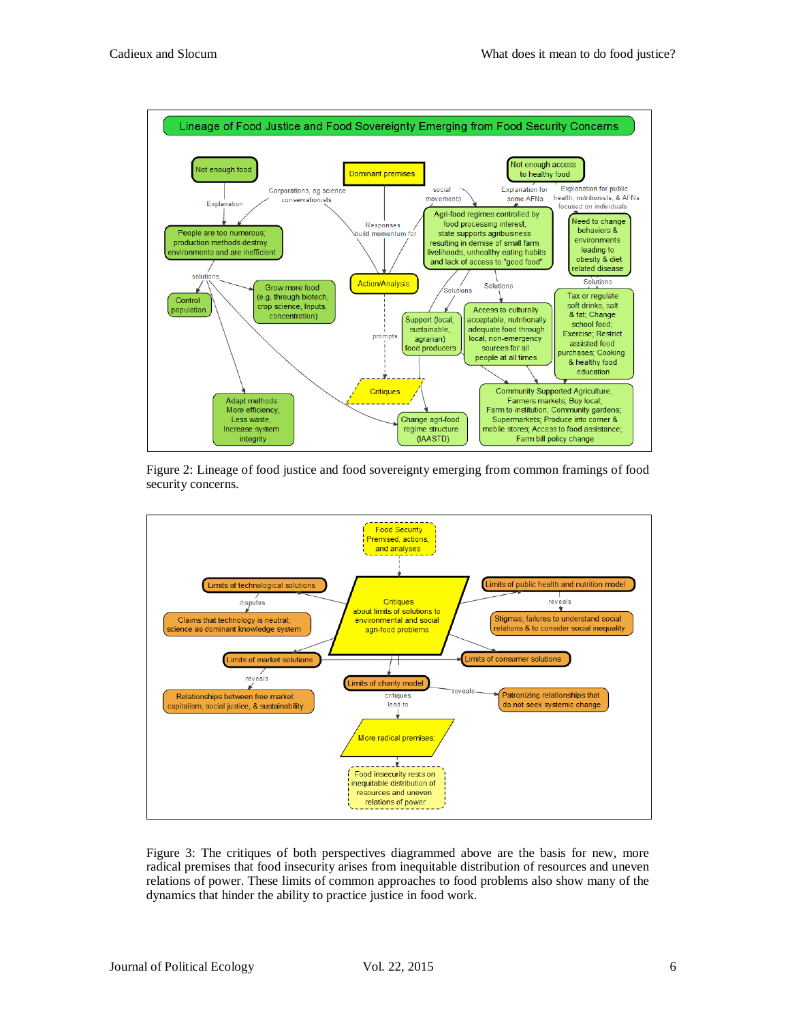





Figure 3: The critiques of both perspectives diagrammed above are the basis for new, more radical premises that food insecurity arises from inequitable distribution of resources and uneven relations of power. These limits of common approaches to food problems also show many of the dynamics that hinder the ability to practice justice in food work.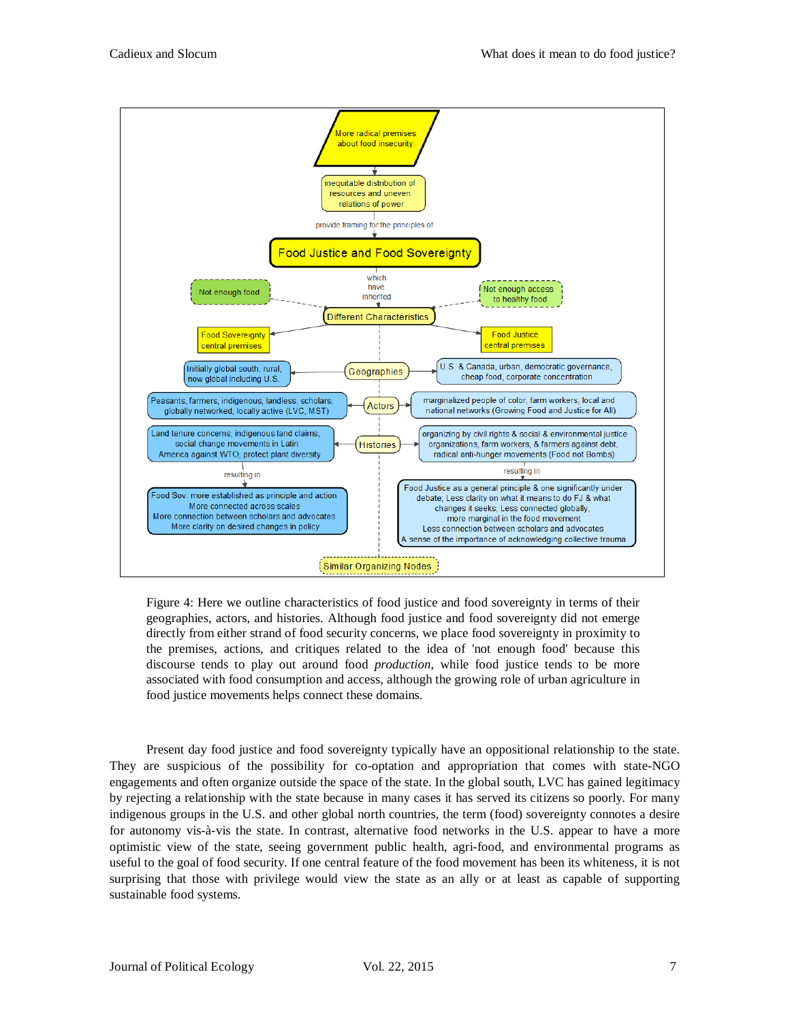

Figure 4: Here we outline characteristics of food justice and food sovereignty in terms of their geographies, actors, and histories. Although food justice and food sovereignty did not emerge directly from either strand of food security concerns, we place food sovereignty in proximity to the premises, actions, and critiques related to the idea of 'not enough food' because this discourse tends to play out around food *production*, while food justice tends to be more associated with food consumption and access, although the growing role of urban agriculture in food justice movements helps connect these domains.

Present day food justice and food sovereignty typically have an oppositional relationship to the state. They are suspicious of the possibility for co-optation and appropriation that comes with state-NGO engagements and often organize outside the space of the state. In the global south, LVC has gained legitimacy by rejecting a relationship with the state because in many cases it has served its citizens so poorly. For many indigenous groups in the U.S. and other global north countries, the term (food) sovereignty connotes a desire for autonomy vis-à-vis the state. In contrast, alternative food networks in the U.S. appear to have a more optimistic view of the state, seeing government public health, agri-food, and environmental programs as useful to the goal of food security. If one central feature of the food movement has been its whiteness, it is not surprising that those with privilege would view the state as an ally or at least as capable of supporting sustainable food systems.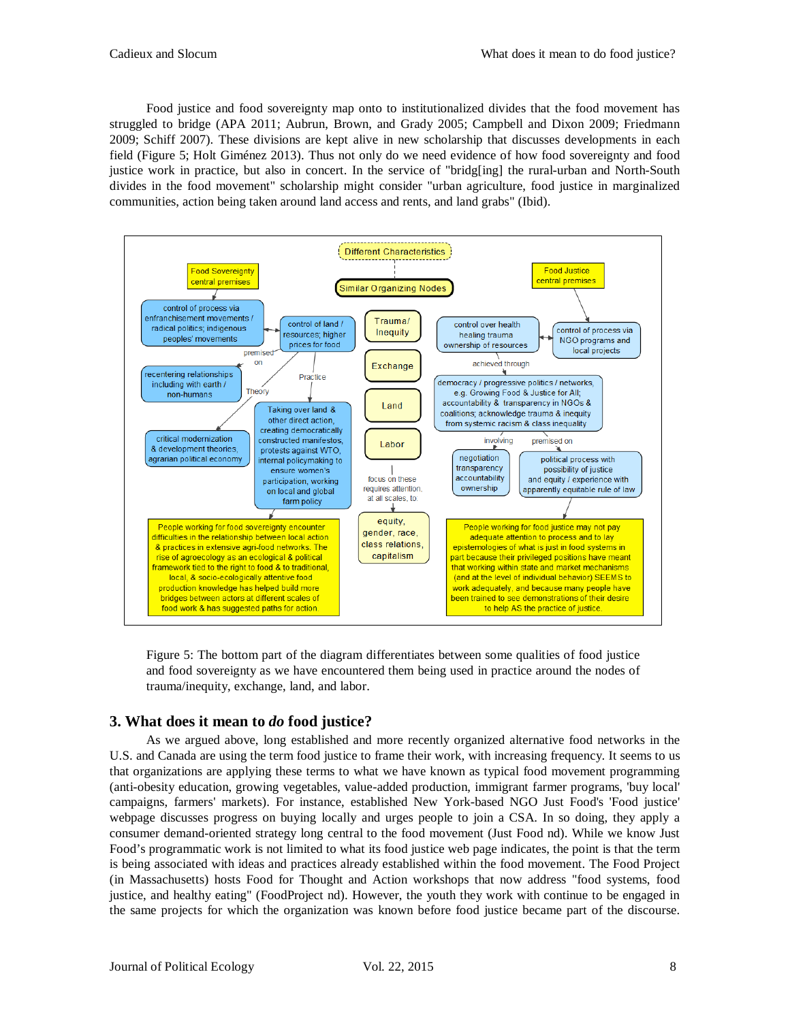Food justice and food sovereignty map onto to institutionalized divides that the food movement has struggled to bridge (APA 2011; Aubrun, Brown, and Grady 2005; Campbell and Dixon 2009; Friedmann 2009; Schiff 2007). These divisions are kept alive in new scholarship that discusses developments in each field (Figure 5; Holt Giménez 2013). Thus not only do we need evidence of how food sovereignty and food justice work in practice, but also in concert. In the service of "bridg[ing] the rural-urban and North-South divides in the food movement" scholarship might consider "urban agriculture, food justice in marginalized communities, action being taken around land access and rents, and land grabs" (Ibid).



Figure 5: The bottom part of the diagram differentiates between some qualities of food justice and food sovereignty as we have encountered them being used in practice around the nodes of trauma/inequity, exchange, land, and labor.

# **3. What does it mean to** *do* **food justice?**

As we argued above, long established and more recently organized alternative food networks in the U.S. and Canada are using the term food justice to frame their work, with increasing frequency. It seems to us that organizations are applying these terms to what we have known as typical food movement programming (anti-obesity education, growing vegetables, value-added production, immigrant farmer programs, 'buy local' campaigns, farmers' markets). For instance, established New York-based NGO Just Food's 'Food justice' webpage discusses progress on buying locally and urges people to join a CSA. In so doing, they apply a consumer demand-oriented strategy long central to the food movement (Just Food nd). While we know Just Food's programmatic work is not limited to what its food justice web page indicates, the point is that the term is being associated with ideas and practices already established within the food movement. The Food Project (in Massachusetts) hosts Food for Thought and Action workshops that now address "food systems, food justice, and healthy eating" (FoodProject nd). However, the youth they work with continue to be engaged in the same projects for which the organization was known before food justice became part of the discourse.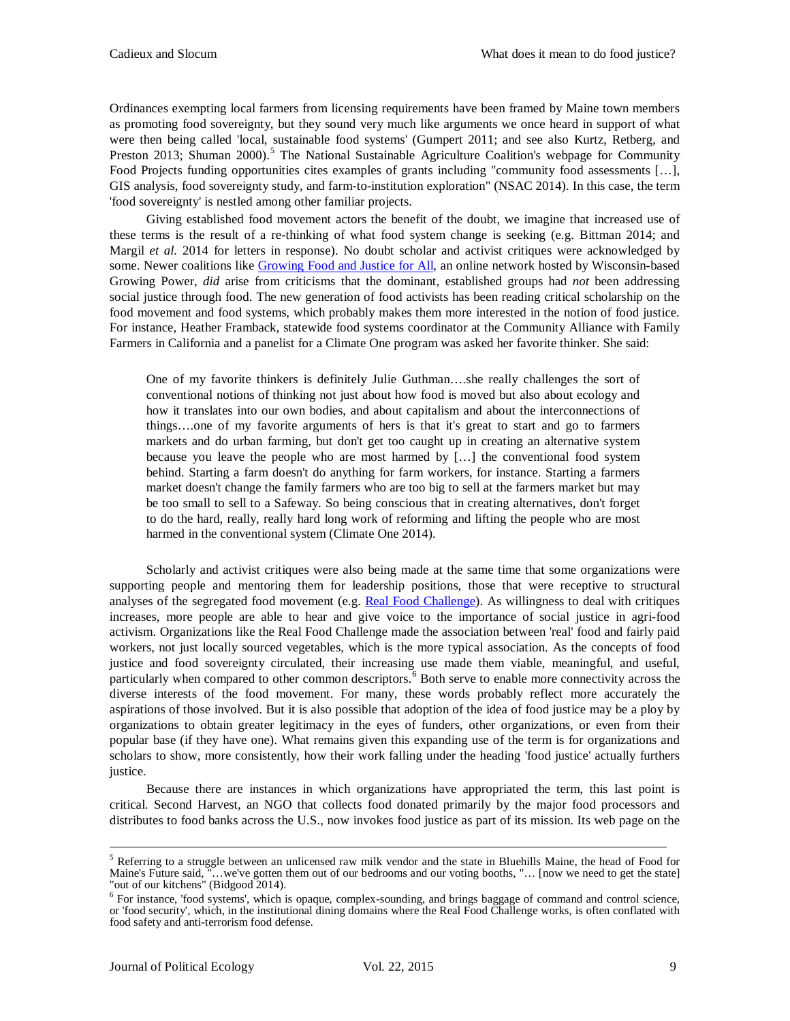Ordinances exempting local farmers from licensing requirements have been framed by Maine town members as promoting food sovereignty, but they sound very much like arguments we once heard in support of what were then being called 'local, sustainable food systems' (Gumpert 2011; and see also Kurtz, Retberg, and Preston 2013; Shuman 2000).<sup>[5](#page-8-0)</sup> The National Sustainable Agriculture Coalition's webpage for Community Food Projects funding opportunities cites examples of grants including "community food assessments […], GIS analysis, food sovereignty study, and farm-to-institution exploration" (NSAC 2014). In this case, the term 'food sovereignty' is nestled among other familiar projects.

Giving established food movement actors the benefit of the doubt, we imagine that increased use of these terms is the result of a re-thinking of what food system change is seeking (e.g. Bittman 2014; and Margil *et al.* 2014 for letters in response). No doubt scholar and activist critiques were acknowledged by some. Newer coalitions like [Growing Food and Justice for All,](http://www.growingfoodandjustice.org/) an online network hosted by Wisconsin-based Growing Power, *did* arise from criticisms that the dominant, established groups had *not* been addressing social justice through food. The new generation of food activists has been reading critical scholarship on the food movement and food systems, which probably makes them more interested in the notion of food justice. For instance, Heather Framback, statewide food systems coordinator at the Community Alliance with Family Farmers in California and a panelist for a Climate One program was asked her favorite thinker. She said:

One of my favorite thinkers is definitely Julie Guthman….she really challenges the sort of conventional notions of thinking not just about how food is moved but also about ecology and how it translates into our own bodies, and about capitalism and about the interconnections of things….one of my favorite arguments of hers is that it's great to start and go to farmers markets and do urban farming, but don't get too caught up in creating an alternative system because you leave the people who are most harmed by […] the conventional food system behind. Starting a farm doesn't do anything for farm workers, for instance. Starting a farmers market doesn't change the family farmers who are too big to sell at the farmers market but may be too small to sell to a Safeway. So being conscious that in creating alternatives, don't forget to do the hard, really, really hard long work of reforming and lifting the people who are most harmed in the conventional system (Climate One 2014).

Scholarly and activist critiques were also being made at the same time that some organizations were supporting people and mentoring them for leadership positions, those that were receptive to structural analyses of the segregated food movement (e.g. [Real Food Challenge\)](http://www.realfoodchallenge.org/). As willingness to deal with critiques increases, more people are able to hear and give voice to the importance of social justice in agri-food activism. Organizations like the Real Food Challenge made the association between 'real' food and fairly paid workers, not just locally sourced vegetables, which is the more typical association. As the concepts of food justice and food sovereignty circulated, their increasing use made them viable, meaningful, and useful, particularly when compared to other common descriptors.<sup>[6](#page-8-1)</sup> Both serve to enable more connectivity across the diverse interests of the food movement. For many, these words probably reflect more accurately the aspirations of those involved. But it is also possible that adoption of the idea of food justice may be a ploy by organizations to obtain greater legitimacy in the eyes of funders, other organizations, or even from their popular base (if they have one). What remains given this expanding use of the term is for organizations and scholars to show, more consistently, how their work falling under the heading 'food justice' actually furthers justice.

Because there are instances in which organizations have appropriated the term, this last point is critical. Second Harvest, an NGO that collects food donated primarily by the major food processors and distributes to food banks across the U.S., now invokes food justice as part of its mission. Its web page on the

<span id="page-8-0"></span><sup>&</sup>lt;sup>5</sup> Referring to a struggle between an unlicensed raw milk vendor and the state in Bluehills Maine, the head of Food for Maine's Future said, "... we've gotten them out of our bedrooms and our voting booths, "... [now we need to get the state]<br>"out of our kitchens" (Bidgood 2014).

<span id="page-8-1"></span> $6$  For instance, 'food systems', which is opaque, complex-sounding, and brings baggage of command and control science, or 'food security', which, in the institutional dining domains where the Real Food Challenge works, is often conflated with food safety and anti-terrorism food defense.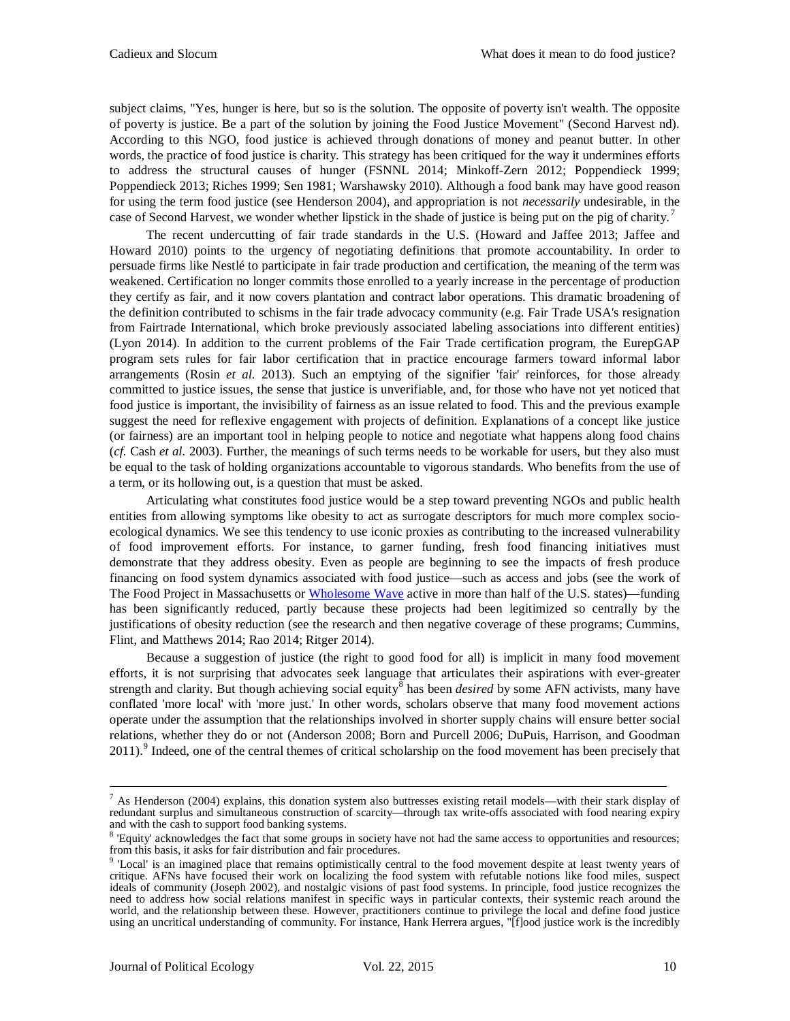subject claims, "Yes, hunger is here, but so is the solution. The opposite of poverty isn't wealth. The opposite of poverty is justice. Be a part of the solution by joining the Food Justice Movement" (Second Harvest nd). According to this NGO, food justice is achieved through donations of money and peanut butter. In other words, the practice of food justice is charity. This strategy has been critiqued for the way it undermines efforts to address the structural causes of hunger (FSNNL 2014; Minkoff-Zern 2012; Poppendieck 1999; Poppendieck 2013; Riches 1999; Sen 1981; Warshawsky 2010). Although a food bank may have good reason for using the term food justice (see Henderson 2004), and appropriation is not *necessarily* undesirable, in the case of Second Harvest, we wonder whether lipstick in the shade of justice is being put on the pig of charity.

The recent undercutting of fair trade standards in the U.S. (Howard and Jaffee 2013; Jaffee and Howard 2010) points to the urgency of negotiating definitions that promote accountability. In order to persuade firms like Nestlé to participate in fair trade production and certification, the meaning of the term was weakened. Certification no longer commits those enrolled to a yearly increase in the percentage of production they certify as fair, and it now covers plantation and contract labor operations. This dramatic broadening of the definition contributed to schisms in the fair trade advocacy community (e.g. Fair Trade USA's resignation from Fairtrade International, which broke previously associated labeling associations into different entities) (Lyon 2014). In addition to the current problems of the Fair Trade certification program, the EurepGAP program sets rules for fair labor certification that in practice encourage farmers toward informal labor arrangements (Rosin *et al.* 2013). Such an emptying of the signifier 'fair' reinforces, for those already committed to justice issues, the sense that justice is unverifiable, and, for those who have not yet noticed that food justice is important, the invisibility of fairness as an issue related to food. This and the previous example suggest the need for reflexive engagement with projects of definition. Explanations of a concept like justice (or fairness) are an important tool in helping people to notice and negotiate what happens along food chains (*cf.* Cash *et al.* 2003). Further, the meanings of such terms needs to be workable for users, but they also must be equal to the task of holding organizations accountable to vigorous standards. Who benefits from the use of a term, or its hollowing out, is a question that must be asked.

Articulating what constitutes food justice would be a step toward preventing NGOs and public health entities from allowing symptoms like obesity to act as surrogate descriptors for much more complex socioecological dynamics. We see this tendency to use iconic proxies as contributing to the increased vulnerability of food improvement efforts. For instance, to garner funding, fresh food financing initiatives must demonstrate that they address obesity. Even as people are beginning to see the impacts of fresh produce financing on food system dynamics associated with food justice—such as access and jobs (see the work of The Food Project in Massachusetts or [Wholesome Wave](http://wholesomewave.org/) active in more than half of the U.S. states)—funding has been significantly reduced, partly because these projects had been legitimized so centrally by the justifications of obesity reduction (see the research and then negative coverage of these programs; Cummins, Flint, and Matthews 2014; Rao 2014; Ritger 2014).

Because a suggestion of justice (the right to good food for all) is implicit in many food movement efforts, it is not surprising that advocates seek language that articulates their aspirations with ever-greater strength and clarity. But though achieving social equity<sup>[8](#page-9-1)</sup> has been *desired* by some AFN activists, many have conflated 'more local' with 'more just.' In other words, scholars observe that many food movement actions operate under the assumption that the relationships involved in shorter supply chains will ensure better social relations, whether they do or not (Anderson 2008; Born and Purcell 2006; DuPuis, Harrison, and Goodman 2011).<sup>[9](#page-9-2)</sup> Indeed, one of the central themes of critical scholarship on the food movement has been precisely that

j

<span id="page-9-0"></span><sup>&</sup>lt;sup>7</sup> As Henderson (2004) explains, this donation system also buttresses existing retail models—with their stark display of redundant surplus and simultaneous construction of scarcity—through tax write-offs associated with food nearing expiry and with the cash to support food banking systems.

<span id="page-9-1"></span><sup>&</sup>lt;sup>8</sup> 'Equity' acknowledges the fact that some groups in society have not had the same access to opportunities and resources; from this basis, it asks for fair distribution and fair procedures.

<span id="page-9-2"></span><sup>&</sup>lt;sup>9</sup> 'Local' is an imagined place that remains optimistically central to the food movement despite at least twenty years of critique. AFNs have focused their work on localizing the food system with refutable notions like food miles, suspect ideals of community (Joseph 2002), and nostalgic visions of past food systems. In principle, food justice recognizes the need to address how social relations manifest in specific ways in particular contexts, their systemic reach around the world, and the relationship between these. However, practitioners continue to privilege the local and define food justice using an uncritical understanding of community. For instance, Hank Herrera argues, "[f]ood justice work is the incredibly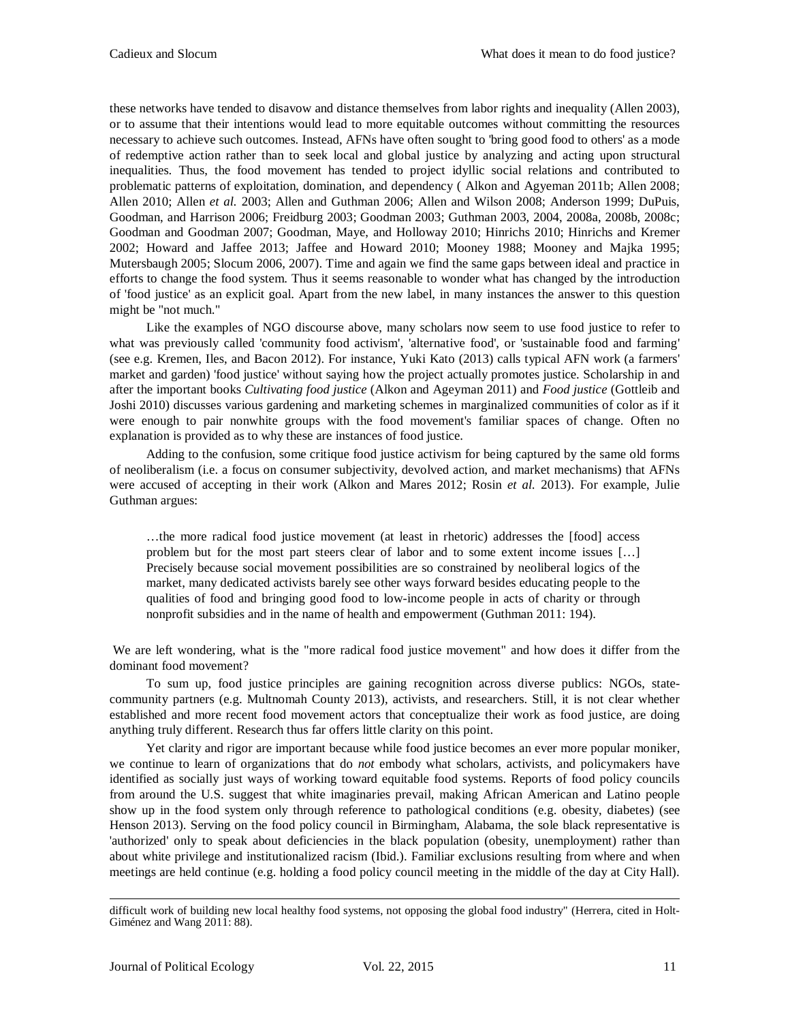these networks have tended to disavow and distance themselves from labor rights and inequality (Allen 2003), or to assume that their intentions would lead to more equitable outcomes without committing the resources necessary to achieve such outcomes. Instead, AFNs have often sought to 'bring good food to others' as a mode of redemptive action rather than to seek local and global justice by analyzing and acting upon structural inequalities. Thus, the food movement has tended to project idyllic social relations and contributed to problematic patterns of exploitation, domination, and dependency ( Alkon and Agyeman 2011b; Allen 2008; Allen 2010; Allen *et al.* 2003; Allen and Guthman 2006; Allen and Wilson 2008; Anderson 1999; DuPuis, Goodman, and Harrison 2006; Freidburg 2003; Goodman 2003; Guthman 2003, 2004, 2008a, 2008b, 2008c; Goodman and Goodman 2007; Goodman, Maye, and Holloway 2010; Hinrichs 2010; Hinrichs and Kremer 2002; Howard and Jaffee 2013; Jaffee and Howard 2010; Mooney 1988; Mooney and Majka 1995; Mutersbaugh 2005; Slocum 2006, 2007). Time and again we find the same gaps between ideal and practice in efforts to change the food system. Thus it seems reasonable to wonder what has changed by the introduction of 'food justice' as an explicit goal. Apart from the new label, in many instances the answer to this question might be "not much."

Like the examples of NGO discourse above, many scholars now seem to use food justice to refer to what was previously called 'community food activism', 'alternative food', or 'sustainable food and farming' (see e.g. Kremen, Iles, and Bacon 2012). For instance, Yuki Kato (2013) calls typical AFN work (a farmers' market and garden) 'food justice' without saying how the project actually promotes justice. Scholarship in and after the important books *Cultivating food justice* (Alkon and Ageyman 2011) and *Food justice* (Gottleib and Joshi 2010) discusses various gardening and marketing schemes in marginalized communities of color as if it were enough to pair nonwhite groups with the food movement's familiar spaces of change. Often no explanation is provided as to why these are instances of food justice.

Adding to the confusion, some critique food justice activism for being captured by the same old forms of neoliberalism (i.e. a focus on consumer subjectivity, devolved action, and market mechanisms) that AFNs were accused of accepting in their work (Alkon and Mares 2012; Rosin *et al.* 2013). For example, Julie Guthman argues:

…the more radical food justice movement (at least in rhetoric) addresses the [food] access problem but for the most part steers clear of labor and to some extent income issues […] Precisely because social movement possibilities are so constrained by neoliberal logics of the market, many dedicated activists barely see other ways forward besides educating people to the qualities of food and bringing good food to low-income people in acts of charity or through nonprofit subsidies and in the name of health and empowerment (Guthman 2011: 194).

We are left wondering, what is the "more radical food justice movement" and how does it differ from the dominant food movement?

To sum up, food justice principles are gaining recognition across diverse publics: NGOs, statecommunity partners (e.g. Multnomah County 2013), activists, and researchers. Still, it is not clear whether established and more recent food movement actors that conceptualize their work as food justice, are doing anything truly different. Research thus far offers little clarity on this point.

Yet clarity and rigor are important because while food justice becomes an ever more popular moniker, we continue to learn of organizations that do *not* embody what scholars, activists, and policymakers have identified as socially just ways of working toward equitable food systems. Reports of food policy councils from around the U.S. suggest that white imaginaries prevail, making African American and Latino people show up in the food system only through reference to pathological conditions (e.g. obesity, diabetes) (see Henson 2013). Serving on the food policy council in Birmingham, Alabama, the sole black representative is 'authorized' only to speak about deficiencies in the black population (obesity, unemployment) rather than about white privilege and institutionalized racism (Ibid.). Familiar exclusions resulting from where and when meetings are held continue (e.g. holding a food policy council meeting in the middle of the day at City Hall).

difficult work of building new local healthy food systems, not opposing the global food industry" (Herrera, cited in Holt- Giménez and Wang 2011: 88). j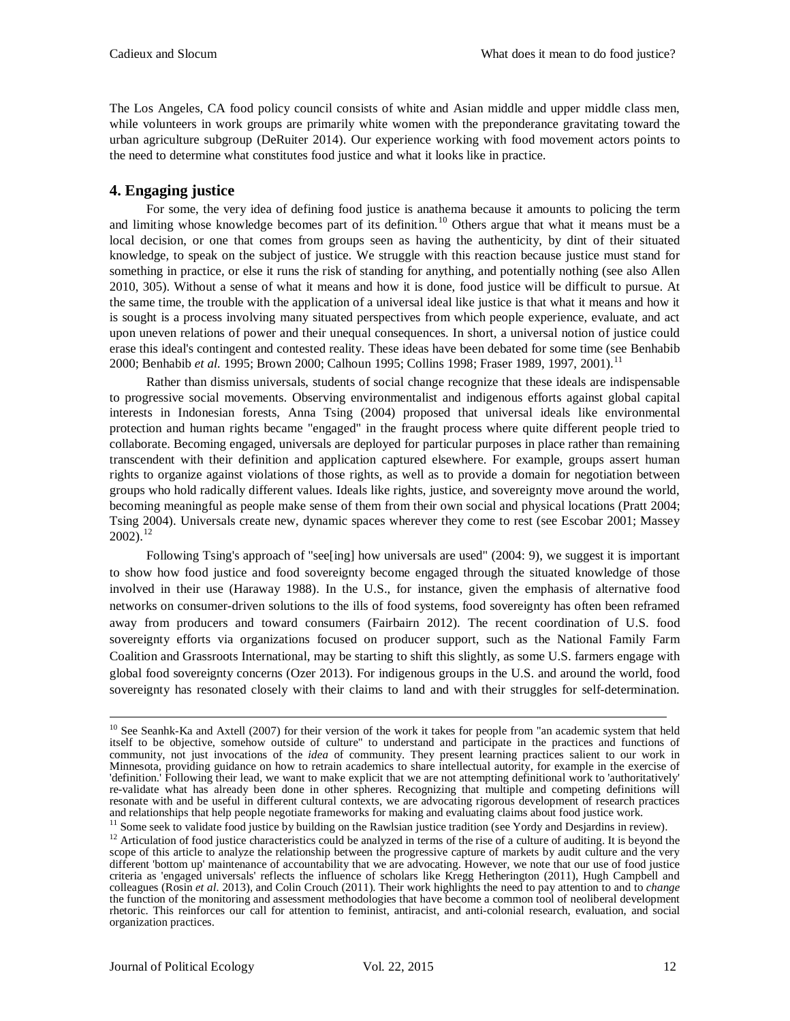The Los Angeles, CA food policy council consists of white and Asian middle and upper middle class men, while volunteers in work groups are primarily white women with the preponderance gravitating toward the urban agriculture subgroup (DeRuiter 2014). Our experience working with food movement actors points to the need to determine what constitutes food justice and what it looks like in practice.

# **4. Engaging justice**

For some, the very idea of defining food justice is anathema because it amounts to policing the term and limiting whose knowledge becomes part of its definition.<sup>[10](#page-11-0)</sup> Others argue that what it means must be a local decision, or one that comes from groups seen as having the authenticity, by dint of their situated knowledge, to speak on the subject of justice. We struggle with this reaction because justice must stand for something in practice, or else it runs the risk of standing for anything, and potentially nothing (see also Allen 2010, 305). Without a sense of what it means and how it is done, food justice will be difficult to pursue. At the same time, the trouble with the application of a universal ideal like justice is that what it means and how it is sought is a process involving many situated perspectives from which people experience, evaluate, and act upon uneven relations of power and their unequal consequences. In short, a universal notion of justice could erase this ideal's contingent and contested reality. These ideas have been debated for some time (see Benhabib 2000; Benhabib *et al.* 1995; Brown 2000; Calhoun 1995; Collins 1998; Fraser 1989, 1997, 2001). [11](#page-11-1)

Rather than dismiss universals, students of social change recognize that these ideals are indispensable to progressive social movements. Observing environmentalist and indigenous efforts against global capital interests in Indonesian forests, Anna Tsing (2004) proposed that universal ideals like environmental protection and human rights became "engaged" in the fraught process where quite different people tried to collaborate. Becoming engaged, universals are deployed for particular purposes in place rather than remaining transcendent with their definition and application captured elsewhere. For example, groups assert human rights to organize against violations of those rights, as well as to provide a domain for negotiation between groups who hold radically different values. Ideals like rights, justice, and sovereignty move around the world, becoming meaningful as people make sense of them from their own social and physical locations (Pratt 2004; Tsing 2004). Universals create new, dynamic spaces wherever they come to rest (see Escobar 2001; Massey 2002). [12](#page-11-2)

Following Tsing's approach of "see[ing] how universals are used" (2004: 9), we suggest it is important to show how food justice and food sovereignty become engaged through the situated knowledge of those involved in their use (Haraway 1988). In the U.S., for instance, given the emphasis of alternative food networks on consumer-driven solutions to the ills of food systems, food sovereignty has often been reframed away from producers and toward consumers (Fairbairn 2012). The recent coordination of U.S. food sovereignty efforts via organizations focused on producer support, such as the National Family Farm Coalition and Grassroots International, may be starting to shift this slightly, as some U.S. farmers engage with global food sovereignty concerns (Ozer 2013). For indigenous groups in the U.S. and around the world, food sovereignty has resonated closely with their claims to land and with their struggles for self-determination.

j

<span id="page-11-0"></span><sup>&</sup>lt;sup>10</sup> See Seanhk-Ka and Axtell (2007) for their version of the work it takes for people from "an academic system that held itself to be objective, somehow outside of culture" to understand and participate in the practices and functions of community, not just invocations of the *idea* of community. They present learning practices salient to our work in Minnesota, providing guidance on how to retrain academics to share intellectual autority, for example in the exercise of 'definition.' Following their lead, we want to make explicit that we are not attempting definitional work to 'authoritatively' re-validate what has already been done in other spheres. Recognizing that multiple and competing definitions will resonate with and be useful in different cultural contexts, we are advocating rigorous development of research practices and relationships that help people negotiate frameworks for making and evaluating claims about food j

<span id="page-11-1"></span><sup>&</sup>lt;sup>11</sup> Some seek to validate food justice by building on the Rawlsian justice tradition (see Yordy and Desjardins in review).<br><sup>12</sup> Articulation of food justice characteristics could be analyzed in terms of the rise of a cul

<span id="page-11-2"></span>scope of this article to analyze the relationship between the progressive capture of markets by audit culture and the very different 'bottom up' maintenance of accountability that we are advocating. However, we note that our use of food justice criteria as 'engaged universals' reflects the influence of scholars like Kregg Hetherington (2011), Hugh Campbell and colleagues (Rosin *et al.* 2013), and Colin Crouch (2011). Their work highlights the need to pay attention to and to *change* the function of the monitoring and assessment methodologies that have become a common tool of neoliberal development rhetoric. This reinforces our call for attention to feminist, antiracist, and anti-colonial research, evaluation, and social organization practices.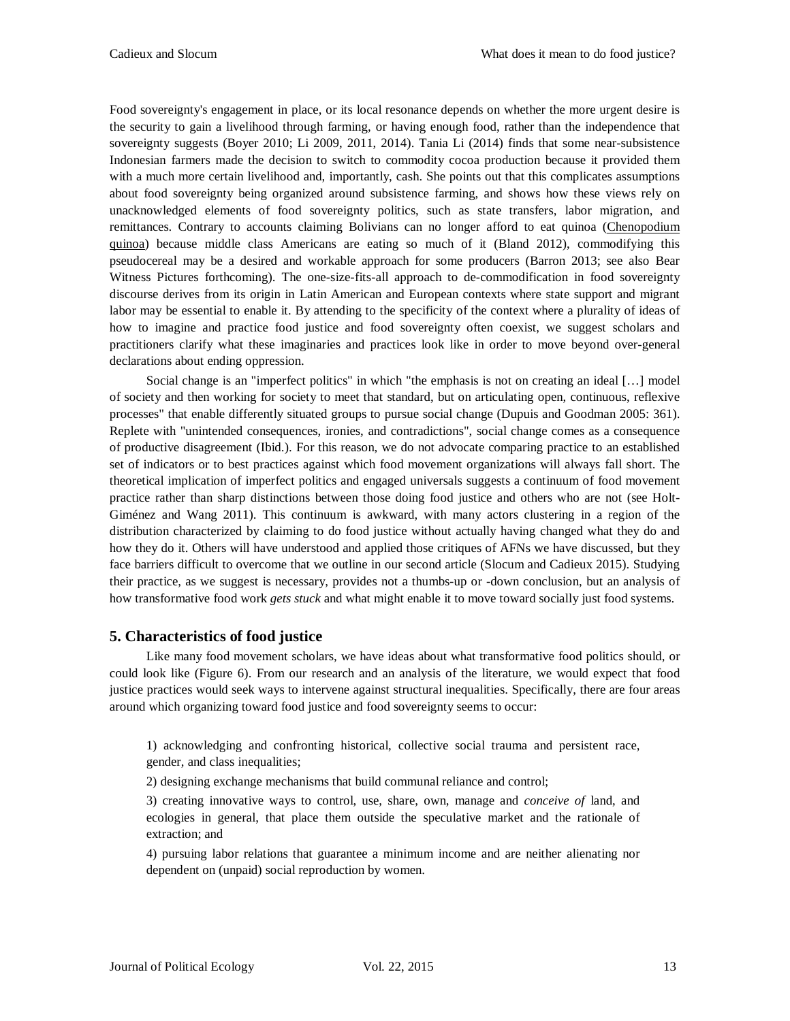Food sovereignty's engagement in place, or its local resonance depends on whether the more urgent desire is the security to gain a livelihood through farming, or having enough food, rather than the independence that sovereignty suggests (Boyer 2010; Li 2009, 2011, 2014). Tania Li (2014) finds that some near-subsistence Indonesian farmers made the decision to switch to commodity cocoa production because it provided them with a much more certain livelihood and, importantly, cash. She points out that this complicates assumptions about food sovereignty being organized around subsistence farming, and shows how these views rely on unacknowledged elements of food sovereignty politics, such as state transfers, labor migration, and remittances. Contrary to accounts claiming Bolivians can no longer afford to eat quinoa (Chenopodium quinoa) because middle class Americans are eating so much of it (Bland 2012), commodifying this pseudocereal may be a desired and workable approach for some producers (Barron 2013; see also Bear Witness Pictures forthcoming). The one-size-fits-all approach to de-commodification in food sovereignty discourse derives from its origin in Latin American and European contexts where state support and migrant labor may be essential to enable it. By attending to the specificity of the context where a plurality of ideas of how to imagine and practice food justice and food sovereignty often coexist, we suggest scholars and practitioners clarify what these imaginaries and practices look like in order to move beyond over-general declarations about ending oppression.

Social change is an "imperfect politics" in which "the emphasis is not on creating an ideal […] model of society and then working for society to meet that standard, but on articulating open, continuous, reflexive processes" that enable differently situated groups to pursue social change (Dupuis and Goodman 2005: 361). Replete with "unintended consequences, ironies, and contradictions", social change comes as a consequence of productive disagreement (Ibid.). For this reason, we do not advocate comparing practice to an established set of indicators or to best practices against which food movement organizations will always fall short. The theoretical implication of imperfect politics and engaged universals suggests a continuum of food movement practice rather than sharp distinctions between those doing food justice and others who are not (see Holt-Giménez and Wang 2011). This continuum is awkward, with many actors clustering in a region of the distribution characterized by claiming to do food justice without actually having changed what they do and how they do it. Others will have understood and applied those critiques of AFNs we have discussed, but they face barriers difficult to overcome that we outline in our second article (Slocum and Cadieux 2015). Studying their practice, as we suggest is necessary, provides not a thumbs-up or -down conclusion, but an analysis of how transformative food work *gets stuck* and what might enable it to move toward socially just food systems.

# **5. Characteristics of food justice**

Like many food movement scholars, we have ideas about what transformative food politics should, or could look like (Figure 6). From our research and an analysis of the literature, we would expect that food justice practices would seek ways to intervene against structural inequalities. Specifically, there are four areas around which organizing toward food justice and food sovereignty seems to occur:

1) acknowledging and confronting historical, collective social trauma and persistent race, gender, and class inequalities;

2) designing exchange mechanisms that build communal reliance and control;

3) creating innovative ways to control, use, share, own, manage and *conceive of* land, and ecologies in general, that place them outside the speculative market and the rationale of extraction; and

4) pursuing labor relations that guarantee a minimum income and are neither alienating nor dependent on (unpaid) social reproduction by women.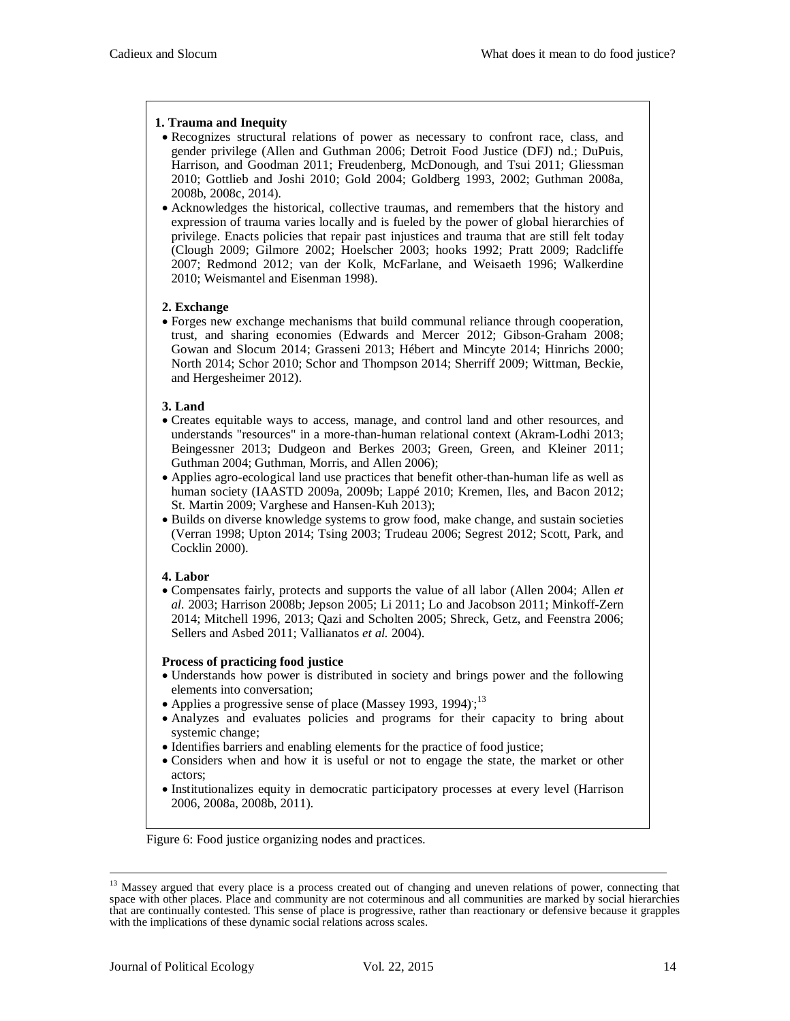### **1. Trauma and Inequity**

- Recognizes structural relations of power as necessary to confront race, class, and gender privilege (Allen and Guthman 2006; Detroit Food Justice (DFJ) nd.; DuPuis, Harrison, and Goodman 2011; Freudenberg, McDonough, and Tsui 2011; Gliessman 2010; Gottlieb and Joshi 2010; Gold 2004; Goldberg 1993, 2002; Guthman 2008a, 2008b, 2008c, 2014).
- Acknowledges the historical, collective traumas, and remembers that the history and expression of trauma varies locally and is fueled by the power of global hierarchies of privilege. Enacts policies that repair past injustices and trauma that are still felt today (Clough 2009; Gilmore 2002; Hoelscher 2003; hooks 1992; Pratt 2009; Radcliffe 2007; Redmond 2012; van der Kolk, McFarlane, and Weisaeth 1996; Walkerdine 2010; Weismantel and Eisenman 1998).

### **2. Exchange**

• Forges new exchange mechanisms that build communal reliance through cooperation, trust, and sharing economies (Edwards and Mercer 2012; Gibson-Graham 2008; Gowan and Slocum 2014; Grasseni 2013; Hébert and Mincyte 2014; Hinrichs 2000; North 2014; Schor 2010; Schor and Thompson 2014; Sherriff 2009; Wittman, Beckie, and Hergesheimer 2012).

### **3. Land**

- Creates equitable ways to access, manage, and control land and other resources, and understands "resources" in a more-than-human relational context (Akram-Lodhi 2013; Beingessner 2013; Dudgeon and Berkes 2003; Green, Green, and Kleiner 2011; Guthman 2004; Guthman, Morris, and Allen 2006);
- Applies agro-ecological land use practices that benefit other-than-human life as well as human society (IAASTD 2009a, 2009b; Lappé 2010; Kremen, Iles, and Bacon 2012; St. Martin 2009; Varghese and Hansen-Kuh 2013);
- Builds on diverse knowledge systems to grow food, make change, and sustain societies (Verran 1998; Upton 2014; Tsing 2003; Trudeau 2006; Segrest 2012; Scott, Park, and Cocklin 2000).

### **4. Labor**

• Compensates fairly, protects and supports the value of all labor (Allen 2004; Allen *et al.* 2003; Harrison 2008b; Jepson 2005; Li 2011; Lo and Jacobson 2011; Minkoff-Zern 2014; Mitchell 1996, 2013; Qazi and Scholten 2005; Shreck, Getz, and Feenstra 2006; Sellers and Asbed 2011; Vallianatos *et al.* 2004).

### **Process of practicing food justice**

- Understands how power is distributed in society and brings power and the following elements into conversation;
- Applies a progressive sense of place (Massey 1993, 1994);<sup>[13](#page-13-0)</sup>
- Analyzes and evaluates policies and programs for their capacity to bring about systemic change;
- Identifies barriers and enabling elements for the practice of food justice;
- Considers when and how it is useful or not to engage the state, the market or other actors;
- Institutionalizes equity in democratic participatory processes at every level (Harrison 2006, 2008a, 2008b, 2011).

Figure 6: Food justice organizing nodes and practices.

<span id="page-13-0"></span><sup>&</sup>lt;sup>13</sup> Massey argued that every place is a process created out of changing and uneven relations of power, connecting that space with other places. Place and community are not coterminous and all communities are marked by social hierarchies that are continually contested. This sense of place is progressive, rather than reactionary or defensive because it grapples with the implications of these dynamic social relations across scales.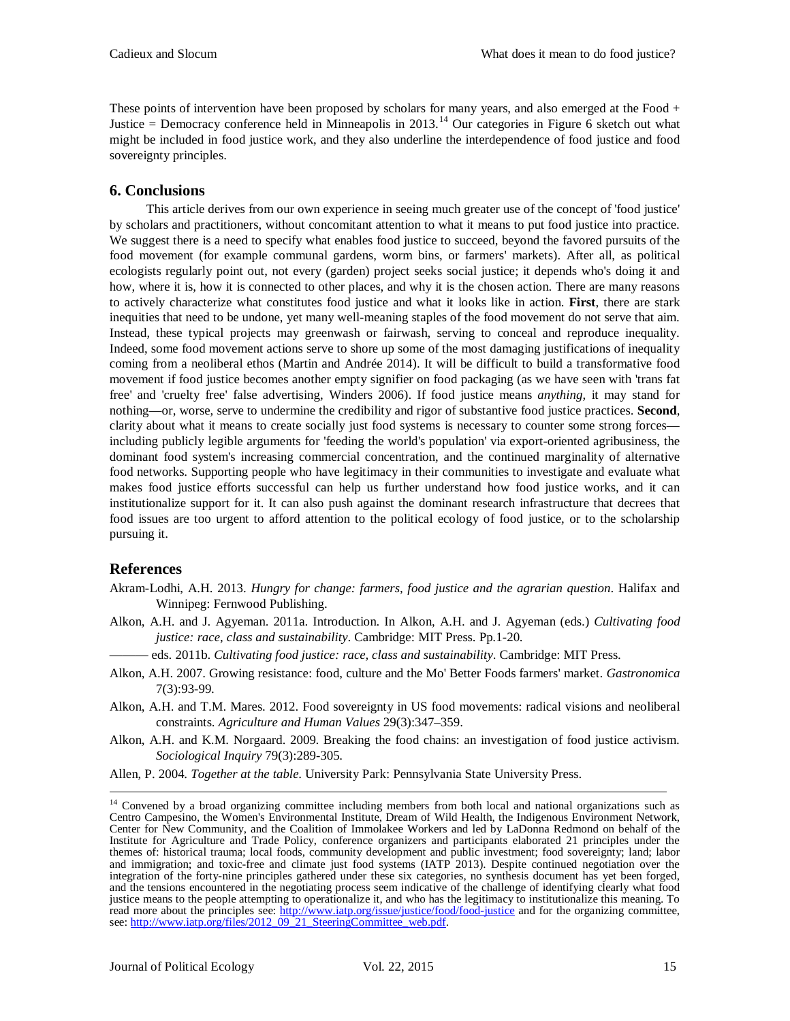These points of intervention have been proposed by scholars for many years, and also emerged at the Food  $+$ Justice = Democracy conference held in Minneapolis in 2013.<sup>[14](#page-14-0)</sup> Our categories in Figure 6 sketch out what might be included in food justice work, and they also underline the interdependence of food justice and food sovereignty principles.

# **6. Conclusions**

This article derives from our own experience in seeing much greater use of the concept of 'food justice' by scholars and practitioners, without concomitant attention to what it means to put food justice into practice. We suggest there is a need to specify what enables food justice to succeed, beyond the favored pursuits of the food movement (for example communal gardens, worm bins, or farmers' markets). After all, as political ecologists regularly point out, not every (garden) project seeks social justice; it depends who's doing it and how, where it is, how it is connected to other places, and why it is the chosen action. There are many reasons to actively characterize what constitutes food justice and what it looks like in action. **First**, there are stark inequities that need to be undone, yet many well-meaning staples of the food movement do not serve that aim. Instead, these typical projects may greenwash or fairwash, serving to conceal and reproduce inequality. Indeed, some food movement actions serve to shore up some of the most damaging justifications of inequality coming from a neoliberal ethos (Martin and Andrée 2014). It will be difficult to build a transformative food movement if food justice becomes another empty signifier on food packaging (as we have seen with 'trans fat free' and 'cruelty free' false advertising, Winders 2006). If food justice means *anything*, it may stand for nothing—or, worse, serve to undermine the credibility and rigor of substantive food justice practices. **Second**, clarity about what it means to create socially just food systems is necessary to counter some strong forces including publicly legible arguments for 'feeding the world's population' via export-oriented agribusiness, the dominant food system's increasing commercial concentration, and the continued marginality of alternative food networks. Supporting people who have legitimacy in their communities to investigate and evaluate what makes food justice efforts successful can help us further understand how food justice works, and it can institutionalize support for it. It can also push against the dominant research infrastructure that decrees that food issues are too urgent to afford attention to the political ecology of food justice, or to the scholarship pursuing it.

## **References**

-

- Akram-Lodhi, A.H. 2013. *Hungry for change: farmers, food justice and the agrarian question*. Halifax and Winnipeg: Fernwood Publishing.
- Alkon, A.H. and J. Agyeman. 2011a. Introduction. In Alkon, A.H. and J. Agyeman (eds.) *Cultivating food justice: race, class and sustainability*. Cambridge: MIT Press. Pp.1-20.
- ——— eds. 2011b. *Cultivating food justice: race, class and sustainability*. Cambridge: MIT Press.
- Alkon, A.H. 2007. Growing resistance: food, culture and the Mo' Better Foods farmers' market. *Gastronomica* 7(3):93-99.
- Alkon, A.H. and T.M. Mares. 2012. Food sovereignty in US food movements: radical visions and neoliberal constraints. *Agriculture and Human Values* 29(3):347–359.
- Alkon, A.H. and K.M. Norgaard. 2009. Breaking the food chains: an investigation of food justice activism. *Sociological Inquiry* 79(3):289-305.

Allen, P. 2004. *Together at the table*. University Park: Pennsylvania State University Press.

<span id="page-14-0"></span><sup>&</sup>lt;sup>14</sup> Convened by a broad organizing committee including members from both local and national organizations such as Centro Campesino, the Women's Environmental Institute, Dream of Wild Health, the Indigenous Environment Network, Center for New Community, and the Coalition of Immolakee Workers and led by LaDonna Redmond on behalf of the Institute for Agriculture and Trade Policy, conference organizers and participants elaborated 21 principles under the themes of: historical trauma; local foods, community development and public investment; food sovereignty; land; labor and immigration; and toxic-free and climate just food systems (IATP 2013). Despite continued negotiation over the integration of the forty-nine principles gathered under these six categories, no synthesis document has yet been forged, and the tensions encountered in the negotiating process seem indicative of the challenge of identifying clearly what food justice means to the people attempting to operationalize it, and who has the legitimacy to institutionalize this meaning. To read more about the principles see: http://www.iatp.org/issue/justice/food/food-justice and for the organizing committee, see: [http://www.iatp.org/files/2012\\_09\\_21\\_SteeringCommittee\\_web.pdf.](http://www.iatp.org/files/2012_09_21_SteeringCommittee_web.pdf)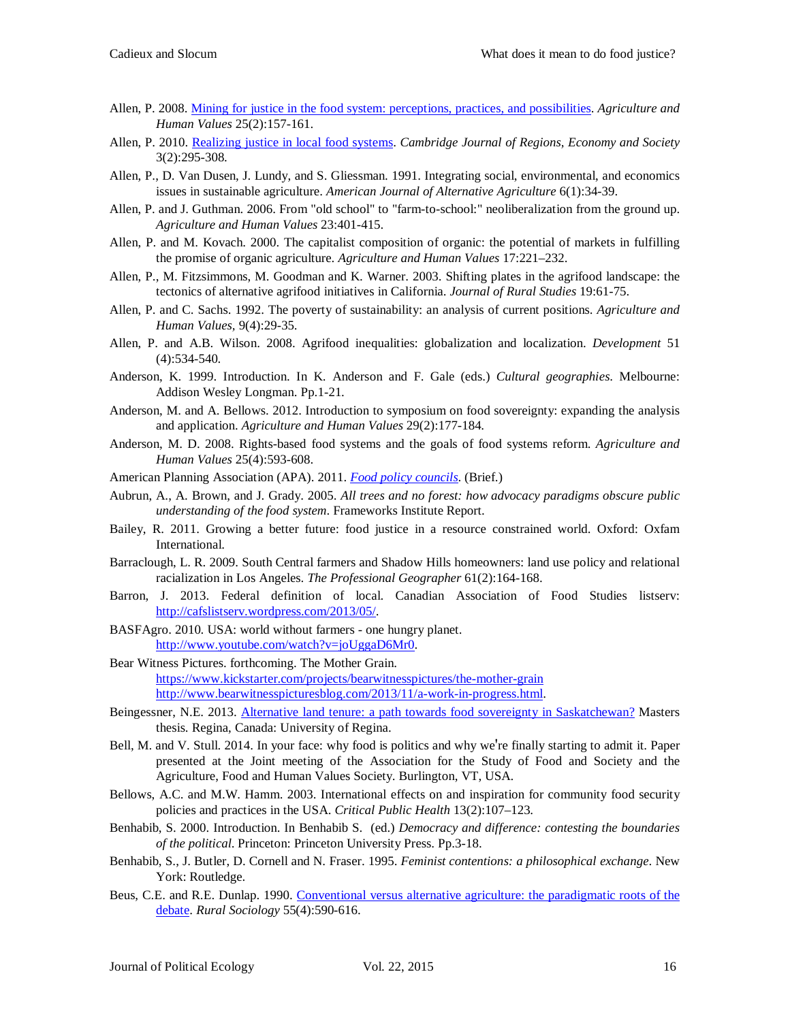- Allen, P. 2008. [Mining for justice in the food system: perceptions, practices, and possibilities.](http://63.249.122.224/wp-content/uploads/2010/04/Allen_mining_for_justice.pdf) *Agriculture and Human Values* 25(2):157-161.
- Allen, P. 2010. [Realizing justice in local food systems.](http://www.ssc.wisc.edu/%7Ewright/Sociology%20929-assignments-2010_files/realizingjustice.pdf) *Cambridge Journal of Regions, Economy and Society* 3(2):295-308.
- Allen, P., D. Van Dusen, J. Lundy, and S. Gliessman. 1991. Integrating social, environmental, and economics issues in sustainable agriculture. *American Journal of Alternative Agriculture* 6(1):34-39.
- Allen, P. and J. Guthman. 2006. From "old school" to "farm-to-school:" neoliberalization from the ground up. *Agriculture and Human Values* 23:401-415.
- Allen, P. and M. Kovach. 2000. The capitalist composition of organic: the potential of markets in fulfilling the promise of organic agriculture. *Agriculture and Human Values* 17:221–232.
- Allen, P., M. Fitzsimmons, M. Goodman and K. Warner. 2003. Shifting plates in the agrifood landscape: the tectonics of alternative agrifood initiatives in California. *Journal of Rural Studies* 19:61-75.
- Allen, P. and C. Sachs. 1992. The poverty of sustainability: an analysis of current positions. *Agriculture and Human Values,* 9(4):29-35.
- Allen, P. and A.B. Wilson. 2008. Agrifood inequalities: globalization and localization. *Development* 51 (4):534-540.
- Anderson, K. 1999. Introduction. In K. Anderson and F. Gale (eds.) *Cultural geographies*. Melbourne: Addison Wesley Longman. Pp.1-21.
- Anderson, M. and A. Bellows. 2012. Introduction to symposium on food sovereignty: expanding the analysis and application. *Agriculture and Human Values* 29(2):177-184.
- Anderson, M. D. 2008. Rights-based food systems and the goals of food systems reform. *Agriculture and Human Values* 25(4):593-608.
- American Planning Association (APA). 2011. *[Food policy councils](https://www.planning.org/nationalcenters/health/briefingpapers/pdf/foodcouncils.pdf)*. (Brief.)
- Aubrun, A., A. Brown, and J. Grady. 2005. *All trees and no forest: how advocacy paradigms obscure public understanding of the food system*. Frameworks Institute Report.
- Bailey, R. 2011. Growing a better future: food justice in a resource constrained world. Oxford: Oxfam International.
- Barraclough, L. R. 2009. South Central farmers and Shadow Hills homeowners: land use policy and relational racialization in Los Angeles. *The Professional Geographer* 61(2):164-168.
- Barron, J. 2013. Federal definition of local. Canadian Association of Food Studies listserv: [http://cafslistserv.wordpress.com/2013/05/.](http://cafslistserv.wordpress.com/2013/05/)
- BASFAgro. 2010. USA: world without farmers one hungry planet. [http://www.youtube.com/watch?v=joUggaD6Mr0.](http://www.youtube.com/watch?v=joUggaD6Mr0)

Bear Witness Pictures. forthcoming. The Mother Grain. <https://www.kickstarter.com/projects/bearwitnesspictures/the-mother-grain> [http://www.bearwitnesspicturesblog.com/2013/11/a-work-in-progress.html.](http://www.bearwitnesspicturesblog.com/2013/11/a-work-in-progress.html)

- Beingessner, N.E. 2013. [Alternative land tenure: a path towards food sovereignty in Saskatchewan?](http://ourspace.uregina.ca/bitstream/handle/10294/3831/Beingessner_Naomi_196401062_MA_JUST_Spring2012.pdf?sequence=1) Masters thesis. Regina, Canada: University of Regina.
- Bell, M. and V. Stull. 2014. In your face: why food is politics and why we're finally starting to admit it. Paper presented at the Joint meeting of the Association for the Study of Food and Society and the Agriculture, Food and Human Values Society. Burlington, VT, USA.
- Bellows, A.C. and M.W. Hamm. 2003. International effects on and inspiration for community food security policies and practices in the USA. *Critical Public Health* 13(2):107–123.
- Benhabib, S. 2000. Introduction. In Benhabib S. (ed.) *Democracy and difference: contesting the boundaries of the political*. Princeton: Princeton University Press. Pp.3-18.
- Benhabib, S., J. Butler, D. Cornell and N. Fraser. 1995. *Feminist contentions: a philosophical exchange*. New York: Routledge.
- Beus, C.E. and R.E. Dunlap. 1990. [Conventional versus alternative agriculture: the paradigmatic roots of the](http://www.soc.iastate.edu/class/325/beus.pdf)  [debate.](http://www.soc.iastate.edu/class/325/beus.pdf) *Rural Sociology* 55(4):590-616.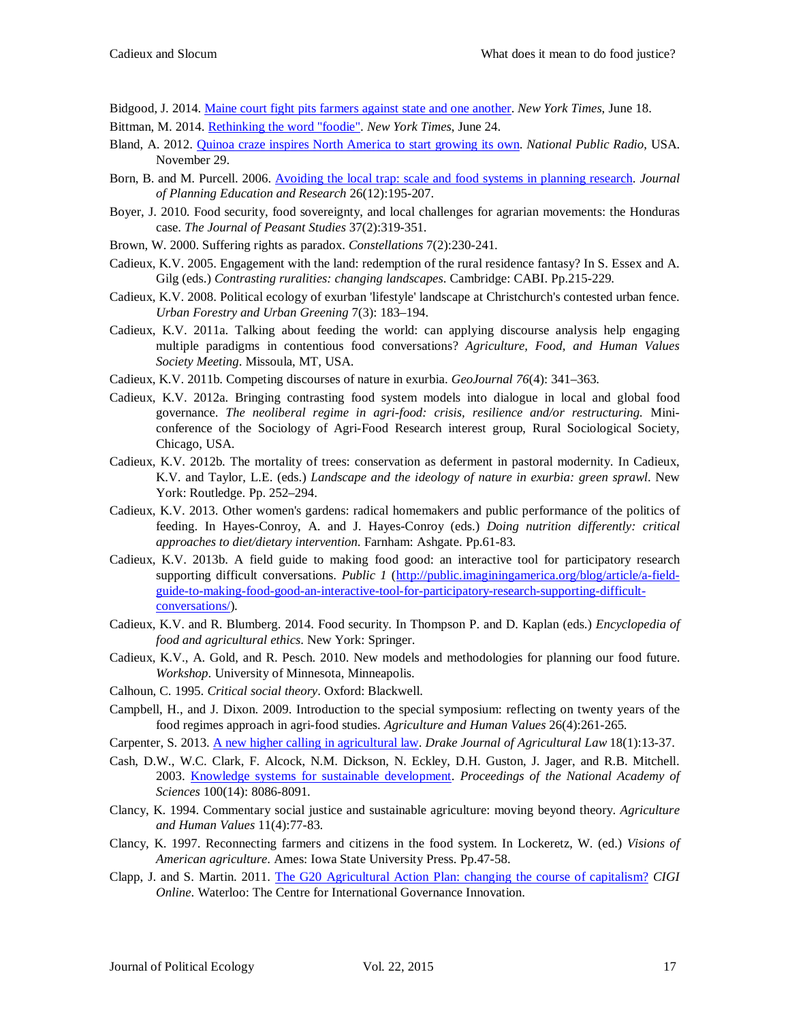Bidgood, J. 2014. [Maine court fight pits farmers against state and one another.](http://www.nytimes.com/2014/06/19/us/maine-court-fight-pits-farmers-against-state-and-one-another.html?_r=0) *New York Times*, June 18.

- Bittman, M. 2014. [Rethinking the word "foodie".](http://www.nytimes.com/2014/06/25/opinion/mark-bittman-rethinking-the-word-foodie.html) *New York Times*, June 24.
- Bland, A. 2012. [Quinoa craze inspires North America to start growing its own.](http://www.npr.org/blogs/thesalt/2012/11/29/166155875/quinoa-craze-inspires-north-america-to-start-growing-its-own) *National Public Radio*, USA. November 29.
- Born, B. and M. Purcell. 2006. [Avoiding the local trap: scale and food systems in planning research.](http://www.jhsph.edu/research/centers-and-institutes/johns-hopkins-center-for-a-livable-future/_pdf/projects/FPN/academic_literature/Avoiding%20the%20Local%20Trap.pdf) *Journal of Planning Education and Research* 26(12):195-207.
- Boyer, J. 2010. Food security, food sovereignty, and local challenges for agrarian movements: the Honduras case. *The Journal of Peasant Studies* 37(2):319-351.
- Brown, W. 2000. Suffering rights as paradox. *Constellations* 7(2):230-241.
- Cadieux, K.V. 2005. Engagement with the land: redemption of the rural residence fantasy? In S. Essex and A. Gilg (eds.) *Contrasting ruralities: changing landscapes*. Cambridge: CABI. Pp.215-229.
- Cadieux, K.V. 2008. Political ecology of exurban 'lifestyle' landscape at Christchurch's contested urban fence. *Urban Forestry and Urban Greening* 7(3): 183–194.
- Cadieux, K.V. 2011a. Talking about feeding the world: can applying discourse analysis help engaging multiple paradigms in contentious food conversations? *Agriculture, Food, and Human Values Society Meeting*. Missoula, MT, USA.
- Cadieux, K.V. 2011b. Competing discourses of nature in exurbia. *GeoJournal 76*(4): 341–363.
- Cadieux, K.V. 2012a. Bringing contrasting food system models into dialogue in local and global food governance. *The neoliberal regime in agri-food: crisis, resilience and/or restructuring.* Miniconference of the Sociology of Agri-Food Research interest group, Rural Sociological Society*,* Chicago, USA.
- Cadieux, K.V. 2012b. The mortality of trees: conservation as deferment in pastoral modernity. In Cadieux, K.V. and Taylor, L.E. (eds.) *Landscape and the ideology of nature in exurbia: green sprawl*. New York: Routledge. Pp. 252–294.
- Cadieux, K.V. 2013. Other women's gardens: radical homemakers and public performance of the politics of feeding. In Hayes-Conroy, A. and J. Hayes-Conroy (eds.) *Doing nutrition differently: critical approaches to diet/dietary intervention*. Farnham: Ashgate. Pp.61-83.
- Cadieux, K.V. 2013b. A field guide to making food good: an interactive tool for participatory research supporting difficult conversations. *Public 1* [\(http://public.imaginingamerica.org/blog/article/a-field](http://public.imaginingamerica.org/blog/article/a-field-guide-to-making-food-good-an-interactive-tool-for-participatory-research-supporting-difficult-conversations/)[guide-to-making-food-good-an-interactive-tool-for-participatory-research-supporting-difficult](http://public.imaginingamerica.org/blog/article/a-field-guide-to-making-food-good-an-interactive-tool-for-participatory-research-supporting-difficult-conversations/)[conversations/\)](http://public.imaginingamerica.org/blog/article/a-field-guide-to-making-food-good-an-interactive-tool-for-participatory-research-supporting-difficult-conversations/)*.*
- Cadieux, K.V. and R. Blumberg. 2014. Food security. In Thompson P. and D. Kaplan (eds.) *Encyclopedia of food and agricultural ethics*. New York: Springer.
- Cadieux, K.V., A. Gold, and R. Pesch. 2010. New models and methodologies for planning our food future. *Workshop*. University of Minnesota, Minneapolis.
- Calhoun, C. 1995. *Critical social theory*. Oxford: Blackwell.
- Campbell, H., and J. Dixon. 2009. Introduction to the special symposium: reflecting on twenty years of the food regimes approach in agri-food studies. *Agriculture and Human Values* 26(4):261-265.
- Carpenter, S. 2013. [A new higher calling in agricultural law.](http://students.law.drake.edu/agLawJournal/docs/agVol18No1-Carpenter.pdf) *Drake Journal of Agricultural Law* 18(1):13-37.
- Cash, D.W., W.C. Clark, F. Alcock, N.M. Dickson, N. Eckley, D.H. Guston, J. Jager, and R.B. Mitchell. 2003. [Knowledge systems for sustainable development.](http://www.pnas.org/content/100/14/8086.full.pdf+html) *Proceedings of the National Academy of Sciences* 100(14): 8086-8091.
- Clancy, K. 1994. Commentary social justice and sustainable agriculture: moving beyond theory. *Agriculture and Human Values* 11(4):77-83.
- Clancy, K. 1997. Reconnecting farmers and citizens in the food system. In Lockeretz, W. (ed.) *Visions of American agriculture*. Ames: Iowa State University Press. Pp.47-58.
- Clapp, J. and S. Martin. 2011. [The G20 Agricultural Action Plan: changing the course of capitalism?](http://triplecrisis.com/g20-agricultural-action-plan/) *CIGI Online.* Waterloo: The Centre for International Governance Innovation.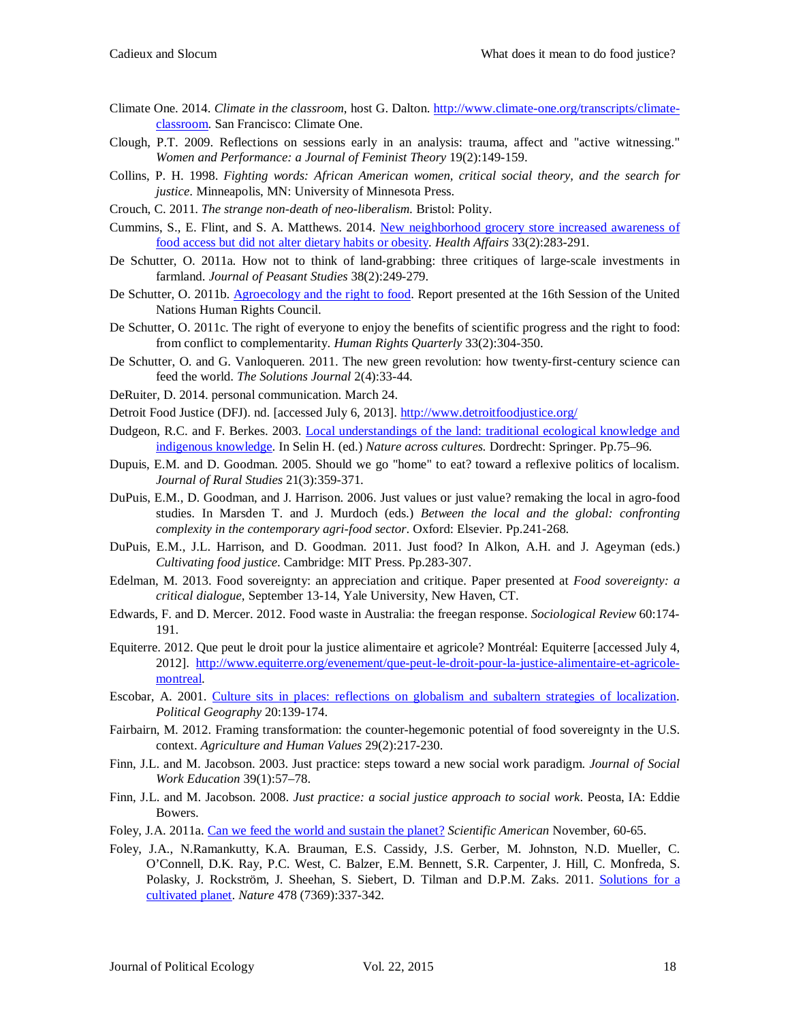- Climate One. 2014. *Climate in the classroom*, host G. Dalton. [http://www.climate-one.org/transcripts/climate](http://www.climate-one.org/transcripts/climate-classroom)[classroom.](http://www.climate-one.org/transcripts/climate-classroom) San Francisco: Climate One.
- Clough, P.T. 2009. Reflections on sessions early in an analysis: trauma, affect and "active witnessing." *Women and Performance: a Journal of Feminist Theory* 19(2):149-159.
- Collins, P. H. 1998. *Fighting words: African American women, critical social theory, and the search for justice*. Minneapolis, MN: University of Minnesota Press.
- Crouch, C. 2011. *The strange non-death of neo-liberalism.* Bristol: Polity.
- Cummins, S., E. Flint, and S. A. Matthews. 2014. [New neighborhood grocery store increased awareness of](http://content.healthaffairs.org/content/33/2/283.full.pdf+html)  [food access but did not alter dietary habits or obesity.](http://content.healthaffairs.org/content/33/2/283.full.pdf+html) *Health Affairs* 33(2):283-291.
- De Schutter, O. 2011a. How not to think of land-grabbing: three critiques of large-scale investments in farmland. *Journal of Peasant Studies* 38(2):249-279.
- De Schutter, O. 2011b. [Agroecology and the right to food.](http://www.srfood.org/en/report-agroecology-and-the-right-to-food) Report presented at the 16th Session of the United Nations Human Rights Council.
- De Schutter, O. 2011c. The right of everyone to enjoy the benefits of scientific progress and the right to food: from conflict to complementarity. *Human Rights Quarterly* 33(2):304-350.
- De Schutter, O. and G. Vanloqueren. 2011. The new green revolution: how twenty-first-century science can feed the world. *The Solutions Journal* 2(4):33-44.
- DeRuiter, D. 2014. personal communication. March 24.
- Detroit Food Justice (DFJ). nd. [accessed July 6, 2013].<http://www.detroitfoodjustice.org/>
- Dudgeon, R.C. and F. Berkes. 2003. [Local understandings of the land: traditional ecological knowledge and](https://umanitoba.ca/institutes/natural_resources/canadaresearchchair/Local%20Understandings%20of%20the%20Land.pdf)  [indigenous knowledge.](https://umanitoba.ca/institutes/natural_resources/canadaresearchchair/Local%20Understandings%20of%20the%20Land.pdf) In Selin H. (ed.) *Nature across cultures.* Dordrecht: Springer. Pp.75–96.
- Dupuis, E.M. and D. Goodman. 2005. Should we go "home" to eat? toward a reflexive politics of localism. *Journal of Rural Studies* 21(3):359-371.
- DuPuis, E.M., D. Goodman, and J. Harrison. 2006. Just values or just value? remaking the local in agro-food studies. In Marsden T. and J. Murdoch (eds.) *Between the local and the global: confronting complexity in the contemporary agri-food sector*. Oxford: Elsevier. Pp.241-268.
- DuPuis, E.M., J.L. Harrison, and D. Goodman. 2011. Just food? In Alkon, A.H. and J. Ageyman (eds.) *Cultivating food justice*. Cambridge: MIT Press. Pp.283-307.
- Edelman, M. 2013. Food sovereignty: an appreciation and critique. Paper presented at *Food sovereignty: a critical dialogue*, September 13-14, Yale University, New Haven, CT.
- Edwards, F. and D. Mercer. 2012. Food waste in Australia: the freegan response. *Sociological Review* 60:174- 191.
- Equiterre. 2012. Que peut le droit pour la justice alimentaire et agricole? Montréal: Equiterre [accessed July 4, 2012]. [http://www.equiterre.org/evenement/que-peut-le-droit-pour-la-justice-alimentaire-et-agricole](http://www.equiterre.org/evenement/que-peut-le-droit-pour-la-justice-alimentaire-et-agricole-montreal)[montreal.](http://www.equiterre.org/evenement/que-peut-le-droit-pour-la-justice-alimentaire-et-agricole-montreal)
- Escobar, A. 2001. [Culture sits in places: reflections on globalism and subaltern strategies of localization.](http://www.slideshare.net/deborahdelgado11/escobar-culture-sitsinplaces) *Political Geography* 20:139-174.
- Fairbairn, M. 2012. Framing transformation: the counter-hegemonic potential of food sovereignty in the U.S. context. *Agriculture and Human Values* 29(2):217-230.
- Finn, J.L. and M. Jacobson. 2003. Just practice: steps toward a new social work paradigm. *Journal of Social Work Education* 39(1):57–78.
- Finn, J.L. and M. Jacobson. 2008. *Just practice: a social justice approach to social work*. Peosta, IA: Eddie Bowers.
- Foley, J.A. 2011a. [Can we feed the world and sustain the planet?](http://www.geog.psu.edu/sites/default/files/Scientific%20American%20Article.pdf) *Scientific American* November, 60-65.
- Foley, J.A., [N.Ramankutty,](http://www.nature.com/nature/journal/v478/n7369/full/nature10452.html%23auth-2) [K.A. Brauman,](http://www.nature.com/nature/journal/v478/n7369/full/nature10452.html%23auth-3) [E.S. Cassidy,](http://www.nature.com/nature/journal/v478/n7369/full/nature10452.html%23auth-4) [J.S. Gerber,](http://www.nature.com/nature/journal/v478/n7369/full/nature10452.html%23auth-5) [M. Johnston,](http://www.nature.com/nature/journal/v478/n7369/full/nature10452.html%23auth-6) [N.D. Mueller,](http://www.nature.com/nature/journal/v478/n7369/full/nature10452.html%23auth-7) [C.](http://www.nature.com/nature/journal/v478/n7369/full/nature10452.html%23auth-8)  [O'Connell,](http://www.nature.com/nature/journal/v478/n7369/full/nature10452.html%23auth-8) [D.K. Ray,](http://www.nature.com/nature/journal/v478/n7369/full/nature10452.html%23auth-9) [P.C. West,](http://www.nature.com/nature/journal/v478/n7369/full/nature10452.html%23auth-10) [C. Balzer,](http://www.nature.com/nature/journal/v478/n7369/full/nature10452.html%23auth-11) [E.M. Bennett,](http://www.nature.com/nature/journal/v478/n7369/full/nature10452.html%23auth-12) [S.R. Carpenter,](http://www.nature.com/nature/journal/v478/n7369/full/nature10452.html%23auth-13) [J. Hill,](http://www.nature.com/nature/journal/v478/n7369/full/nature10452.html%23auth-14) [C. Monfreda,](http://www.nature.com/nature/journal/v478/n7369/full/nature10452.html%23auth-15) [S.](http://www.nature.com/nature/journal/v478/n7369/full/nature10452.html%23auth-16) [Polasky,](http://www.nature.com/nature/journal/v478/n7369/full/nature10452.html%23auth-16) [J. Rockström,](http://www.nature.com/nature/journal/v478/n7369/full/nature10452.html%23auth-17) [J. Sheehan,](http://www.nature.com/nature/journal/v478/n7369/full/nature10452.html%23auth-18) [S. Siebert,](http://www.nature.com/nature/journal/v478/n7369/full/nature10452.html%23auth-19) [D. Tilman](http://www.nature.com/nature/journal/v478/n7369/full/nature10452.html%23auth-20) and [D.P.M. Zaks.](http://www.nature.com/nature/journal/v478/n7369/full/nature10452.html%23auth-21) 2011. Solutions for a [cultivated planet.](http://www.slideshare.net/ViralNetwork/nature-article) *Nature* 478 (7369):337-342.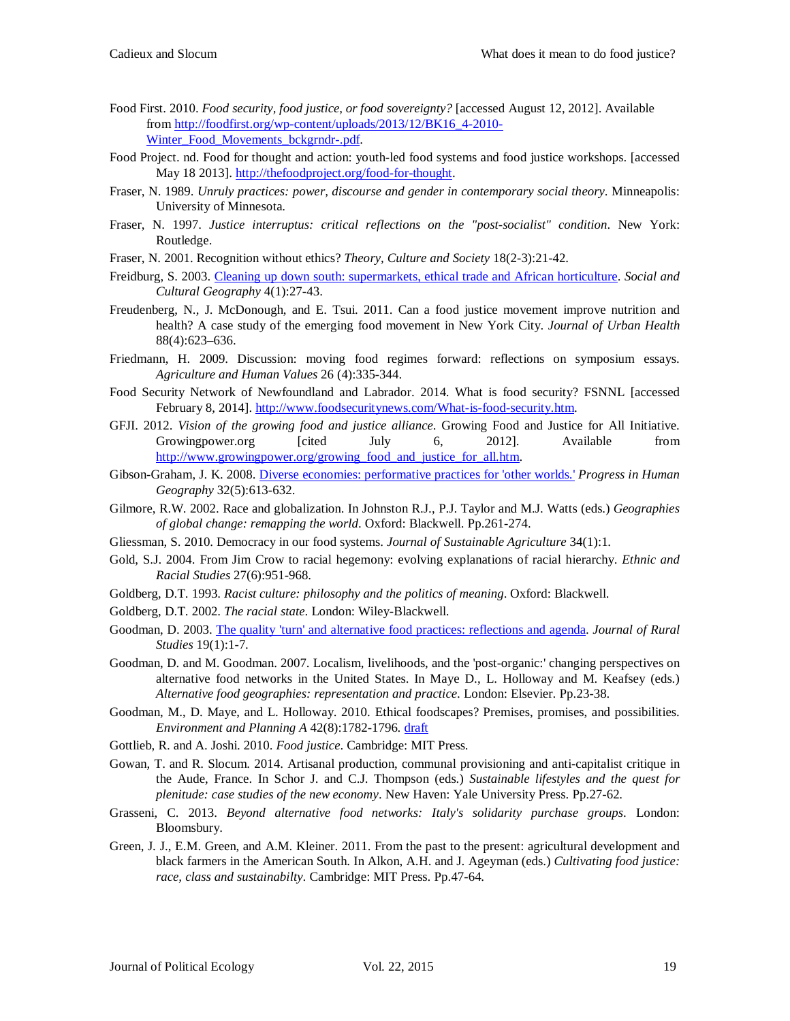- Food First. 2010. *Food security, food justice, or food sovereignty?* [accessed August 12, 2012]. Available from http://foodfirst.org/wp-content/uploads/2013/12/BK16\_4-2010- Winter\_Food\_Movements\_bckgrndr-.pdf.
- Food Project. nd. Food for thought and action: youth-led food systems and food justice workshops. [accessed May 18 2013][. http://thefoodproject.org/food-for-thought.](http://thefoodproject.org/food-for-thought)
- Fraser, N. 1989. *Unruly practices: power, discourse and gender in contemporary social theory*. Minneapolis: University of Minnesota.
- Fraser, N. 1997. *Justice interruptus: critical reflections on the "post-socialist" condition*. New York: Routledge.
- Fraser, N. 2001. Recognition without ethics? *Theory, Culture and Society* 18(2-3):21-42.
- Freidburg, S. 2003. [Cleaning up down south: supermarkets, ethical trade and African horticulture.](http://susannefreidberg.weebly.com/uploads/1/6/5/6/16560544/cleaningup.pdf) *Social and Cultural Geography* 4(1):27-43.
- Freudenberg, N., J. McDonough, and E. Tsui. 2011. Can a food justice movement improve nutrition and health? A case study of the emerging food movement in New York City. *Journal of Urban Health* 88(4):623–636.
- Friedmann, H. 2009. Discussion: moving food regimes forward: reflections on symposium essays. *Agriculture and Human Values* 26 (4):335-344.
- Food Security Network of Newfoundland and Labrador. 2014. What is food security? FSNNL [accessed February 8, 2014]. [http://www.foodsecuritynews.com/What-is-food-security.htm.](http://www.foodsecuritynews.com/What-is-food-security.htm)
- GFJI. 2012. *Vision of the growing food and justice alliance*. Growing Food and Justice for All Initiative. Growingpower.org [cited July 6, 2012]. Available from [http://www.growingpower.org/growing\\_food\\_and\\_justice\\_for\\_all.htm.](http://www.growingpower.org/growing_food_and_justice_for_all.htm)
- Gibson-Graham, J. K. 2008. [Diverse economies: performative practices for 'other worlds.'](http://law.uvic.ca/demcon/victoria_colloquium/documents/gibson_2008_progress_paper.pdf) *Progress in Human Geography* 32(5):613-632.
- Gilmore, R.W. 2002. Race and globalization. In Johnston R.J., P.J. Taylor and M.J. Watts (eds.) *Geographies of global change: remapping the world*. Oxford: Blackwell. Pp.261-274.
- Gliessman, S. 2010. Democracy in our food systems. *Journal of Sustainable Agriculture* 34(1):1.
- Gold, S.J. 2004. From Jim Crow to racial hegemony: evolving explanations of racial hierarchy. *Ethnic and Racial Studies* 27(6):951-968.
- Goldberg, D.T. 1993. *Racist culture: philosophy and the politics of meaning*. Oxford: Blackwell.
- Goldberg, D.T. 2002. *The racial state*. London: Wiley-Blackwell.
- Goodman, D. 2003. [The quality 'turn' and alternative food practices: reflections and agenda.](http://www.uky.edu/%7Etmute2/geography_methods/readingPDFs/goodman_quality-turn.pdf) *Journal of Rural Studies* 19(1):1-7.
- Goodman, D. and M. Goodman. 2007. Localism, livelihoods, and the 'post-organic:' changing perspectives on alternative food networks in the United States. In Maye D., L. Holloway and M. Keafsey (eds.) *Alternative food geographies: representation and practice*. London: Elsevier. Pp.23-38.
- Goodman, M., D. Maye, and L. Holloway. 2010. Ethical foodscapes? Premises, promises, and possibilities. *Environment and Planning A* 42(8):1782-1796. [draft](http://www.kcl.ac.uk/sspp/departments/geography/research/epd/GoodmanetalWP29.pdf)
- Gottlieb, R. and A. Joshi. 2010. *Food justice*. Cambridge: MIT Press.
- Gowan, T. and R. Slocum. 2014. Artisanal production, communal provisioning and anti-capitalist critique in the Aude, France. In Schor J. and C.J. Thompson (eds.) *Sustainable lifestyles and the quest for plenitude: case studies of the new economy*. New Haven: Yale University Press. Pp.27-62.
- Grasseni, C. 2013. *Beyond alternative food networks: Italy's solidarity purchase groups*. London: Bloomsbury.
- Green, J. J., E.M. Green, and A.M. Kleiner. 2011. From the past to the present: agricultural development and black farmers in the American South. In Alkon, A.H. and J. Ageyman (eds.) *Cultivating food justice: race, class and sustainabilty*. Cambridge: MIT Press. Pp.47-64.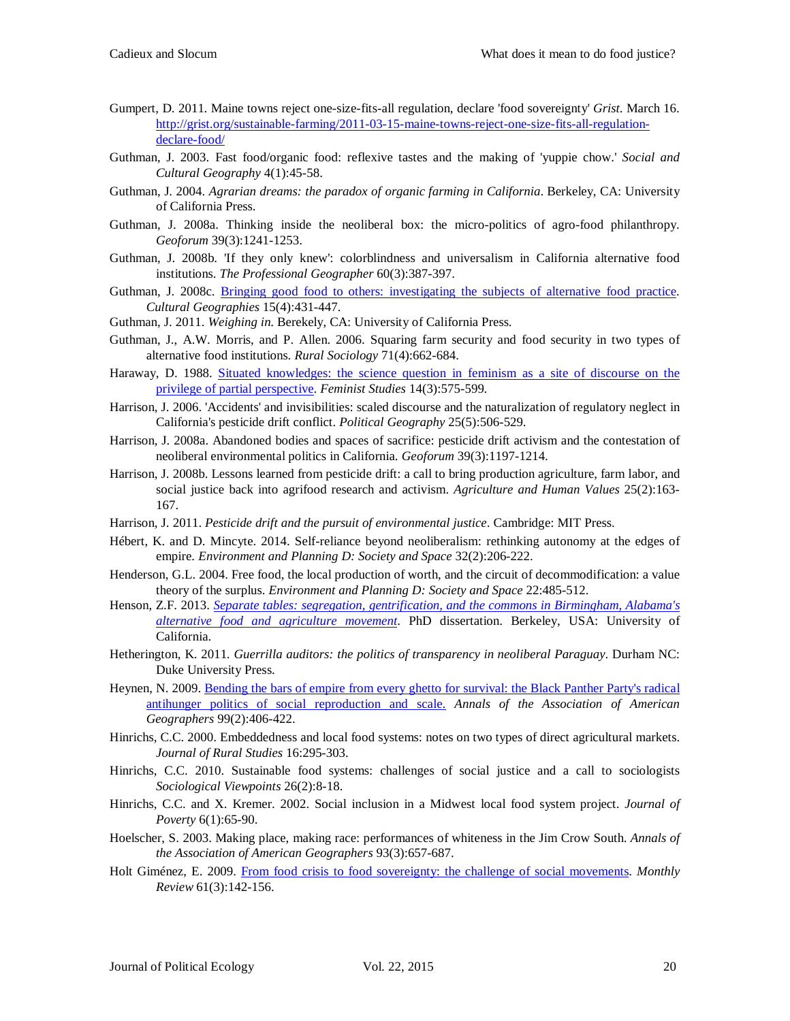- Gumpert, D. 2011. Maine towns reject one-size-fits-all regulation, declare 'food sovereignty' *Grist*. March 16. [http://grist.org/sustainable-farming/2011-03-15-maine-towns-reject-one-size-fits-all-regulation](http://grist.org/sustainable-farming/2011-03-15-maine-towns-reject-one-size-fits-all-regulation-declare-food/)[declare-food/](http://grist.org/sustainable-farming/2011-03-15-maine-towns-reject-one-size-fits-all-regulation-declare-food/)
- Guthman, J. 2003. Fast food/organic food: reflexive tastes and the making of 'yuppie chow.' *Social and Cultural Geography* 4(1):45-58.
- Guthman, J. 2004. *Agrarian dreams: the paradox of organic farming in California*. Berkeley, CA: University of California Press.
- Guthman, J. 2008a. Thinking inside the neoliberal box: the micro-politics of agro-food philanthropy. *Geoforum* 39(3):1241-1253.
- Guthman, J. 2008b. 'If they only knew': colorblindness and universalism in California alternative food institutions. *The Professional Geographer* 60(3):387-397.
- Guthman, J. 2008c. [Bringing good food to others: investigating the subjects of alternative food practice.](http://files.campus.edublogs.org/blogs.cornell.edu/dist/0/2113/files/2012/04/Guthman-bringing-good-food-to-others-ocqhmh.pdf) *Cultural Geographies* 15(4):431-447.
- Guthman, J. 2011. *Weighing in*. Berekely, CA: University of California Press.
- Guthman, J., A.W. Morris, and P. Allen. 2006. Squaring farm security and food security in two types of alternative food institutions. *Rural Sociology* 71(4):662-684.
- Haraway, D. 1988. [Situated knowledges: the science question in feminism as a site of discourse on the](https://faculty.washington.edu/pembina/all_articles/Haraway1988.pdf)  [privilege of partial perspective.](https://faculty.washington.edu/pembina/all_articles/Haraway1988.pdf) *Feminist Studies* 14(3):575-599.
- Harrison, J. 2006. 'Accidents' and invisibilities: scaled discourse and the naturalization of regulatory neglect in California's pesticide drift conflict. *Political Geography* 25(5):506-529.
- Harrison, J. 2008a. Abandoned bodies and spaces of sacrifice: pesticide drift activism and the contestation of neoliberal environmental politics in California. *Geoforum* 39(3):1197-1214.
- Harrison, J. 2008b. Lessons learned from pesticide drift: a call to bring production agriculture, farm labor, and social justice back into agrifood research and activism. *Agriculture and Human Values* 25(2):163- 167.
- Harrison, J. 2011. *Pesticide drift and the pursuit of environmental justice*. Cambridge: MIT Press.
- Hébert, K. and D. Mincyte. 2014. Self-reliance beyond neoliberalism: rethinking autonomy at the edges of empire. *Environment and Planning D: Society and Space* 32(2):206-222.
- Henderson, G.L. 2004. Free food, the local production of worth, and the circuit of decommodification: a value theory of the surplus. *Environment and Planning D: Society and Space* 22:485-512.
- Henson, Z.F. 2013. *[Separate tables: segregation, gentrification, and the commons in Birmingham, Alabama's](http://128.48.120.176/uc/item/3wb9q33z)  [alternative food and agriculture movement](http://128.48.120.176/uc/item/3wb9q33z)*. PhD dissertation. Berkeley, USA: University of California.
- Hetherington, K. 2011. *Guerrilla auditors: the politics of transparency in neoliberal Paraguay*. Durham NC: Duke University Press.
- Heynen, N. 2009. [Bending the bars of empire from every ghetto for survival: the Black Panther Party's radical](http://nikheynen.com/about/)  [antihunger politics of social reproduction and scale.](http://nikheynen.com/about/) *Annals of the Association of American Geographers* 99(2):406-422.
- Hinrichs, C.C. 2000. Embeddedness and local food systems: notes on two types of direct agricultural markets. *Journal of Rural Studies* 16:295-303.
- Hinrichs, C.C. 2010. Sustainable food systems: challenges of social justice and a call to sociologists *Sociological Viewpoints* 26(2):8-18.
- Hinrichs, C.C. and X. Kremer. 2002. Social inclusion in a Midwest local food system project. *Journal of Poverty* 6(1):65-90.
- Hoelscher, S. 2003. Making place, making race: performances of whiteness in the Jim Crow South. *Annals of the Association of American Geographers* 93(3):657-687.
- Holt Giménez, E. 2009. [From food crisis to food sovereignty: the challenge of social movements.](http://monthlyreview.org/2009/07/01/from-food-crisis-to-food-sovereignty-the-challenge-of-social-movements/) *Monthly Review* 61(3):142-156.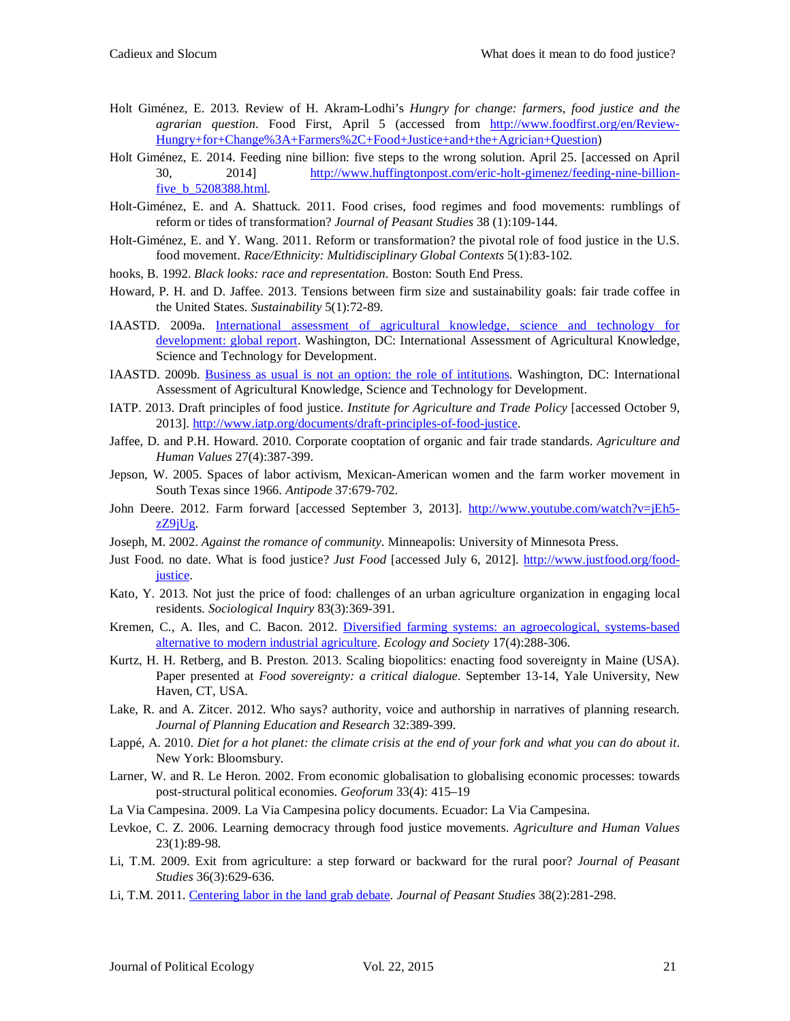- Holt Giménez, E. 2013. Review of H. Akram-Lodhi's *Hungry for change: farmers, food justice and the agrarian question*. Food First, April 5 (accessed from [http://www.foodfirst.org/en/Review-](http://www.foodfirst.org/en/Review-Hungry+for+Change%3A+Farmers%2C+Food+Justice+and+the+Agrician+Question)[Hungry+for+Change%3A+Farmers%2C+Food+Justice+and+the+Agrician+Question\)](http://www.foodfirst.org/en/Review-Hungry+for+Change%3A+Farmers%2C+Food+Justice+and+the+Agrician+Question)
- Holt Giménez, E. 2014. Feeding nine billion: five steps to the wrong solution. April 25. [accessed on April 30, 2014] [http://www.huffingtonpost.com/eric-holt-gimenez/feeding-nine-billion](http://www.huffingtonpost.com/eric-holt-gimenez/feeding-nine-billion-five_b_5208388.html)[five\\_b\\_5208388.html.](http://www.huffingtonpost.com/eric-holt-gimenez/feeding-nine-billion-five_b_5208388.html)
- Holt-Giménez, E. and A. Shattuck. 2011. Food crises, food regimes and food movements: rumblings of reform or tides of transformation? *Journal of Peasant Studies* 38 (1):109-144.
- Holt-Giménez, E. and Y. Wang. 2011. Reform or transformation? the pivotal role of food justice in the U.S. food movement. *Race/Ethnicity: Multidisciplinary Global Contexts* 5(1):83-102.
- hooks, B. 1992. *Black looks: race and representation*. Boston: South End Press.
- Howard, P. H. and D. Jaffee. 2013. Tensions between firm size and sustainability goals: fair trade coffee in the United States. *Sustainability* 5(1):72-89.
- IAASTD. 2009a. [International assessment of agricultural knowledge, science and technology for](http://www.unep.org/dewa/agassessment/reports/IAASTD/EN/Agriculture%20at%20a%20Crossroads_Global%20Report%20(English).pdf)  [development: global report.](http://www.unep.org/dewa/agassessment/reports/IAASTD/EN/Agriculture%20at%20a%20Crossroads_Global%20Report%20(English).pdf) Washington, DC: International Assessment of Agricultural Knowledge, Science and Technology for Development.
- IAASTD. 2009b. [Business as usual is not an option: the role of intitutions.](http://www.unep.org/dewa/agassessment/docs/10505_Institutions.pdf) Washington, DC: International Assessment of Agricultural Knowledge, Science and Technology for Development.
- IATP. 2013. Draft principles of food justice. *Institute for Agriculture and Trade Policy* [accessed October 9, 2013]. [http://www.iatp.org/documents/draft-principles-of-food-justice.](http://www.iatp.org/documents/draft-principles-of-food-justice)
- Jaffee, D. and P.H. Howard. 2010. Corporate cooptation of organic and fair trade standards. *Agriculture and Human Values* 27(4):387-399.
- Jepson, W. 2005. Spaces of labor activism, Mexican-American women and the farm worker movement in South Texas since 1966. *Antipode* 37:679-702.
- John Deere. 2012. Farm forward [accessed September 3, 2013]. [http://www.youtube.com/watch?v=jEh5](http://www.youtube.com/watch?v=jEh5-zZ9jUg) [zZ9jUg.](http://www.youtube.com/watch?v=jEh5-zZ9jUg)
- Joseph, M. 2002. *Against the romance of community*. Minneapolis: University of Minnesota Press.
- Just Food. no date. What is food justice? *Just Food* [accessed July 6, 2012]. [http://www.justfood.org/food](http://www.justfood.org/food-justice)[justice.](http://www.justfood.org/food-justice)
- Kato, Y. 2013. Not just the price of food: challenges of an urban agriculture organization in engaging local residents. *Sociological Inquiry* 83(3):369-391.
- Kremen, C., A. Iles, and C. Bacon. 2012. [Diversified farming systems: an agroecological, systems-based](http://www.ecologyandsociety.org/vol17/iss4/art44/)  [alternative to modern industrial agriculture.](http://www.ecologyandsociety.org/vol17/iss4/art44/) *Ecology and Society* 17(4):288-306.
- Kurtz, H. H. Retberg, and B. Preston. 2013. Scaling biopolitics: enacting food sovereignty in Maine (USA). Paper presented at *Food sovereignty: a critical dialogue*. September 13-14, Yale University, New Haven, CT, USA.
- Lake, R. and A. Zitcer. 2012. Who says? authority, voice and authorship in narratives of planning research. *Journal of Planning Education and Research* 32:389-399.
- Lappé, A. 2010. *Diet for a hot planet: the climate crisis at the end of your fork and what you can do about it*. New York: Bloomsbury.
- Larner, W. and R. Le Heron. 2002. From economic globalisation to globalising economic processes: towards post-structural political economies. *Geoforum* 33(4): 415–19
- La Via Campesina. 2009. La Via Campesina policy documents. Ecuador: La Via Campesina.
- Levkoe, C. Z. 2006. Learning democracy through food justice movements. *Agriculture and Human Values* 23(1):89-98.
- Li, T.M. 2009. Exit from agriculture: a step forward or backward for the rural poor? *Journal of Peasant Studies* 36(3):629-636.
- Li, T.M. 2011. [Centering labor in the land grab debate.](http://www.sv.uio.no/sai/english/research/projects/anthropos-and-the-material/Intranet/economic-practices/reading-group/texts/li-centering-labor-in-the-land-grad-debate.pdf) *Journal of Peasant Studies* 38(2):281-298.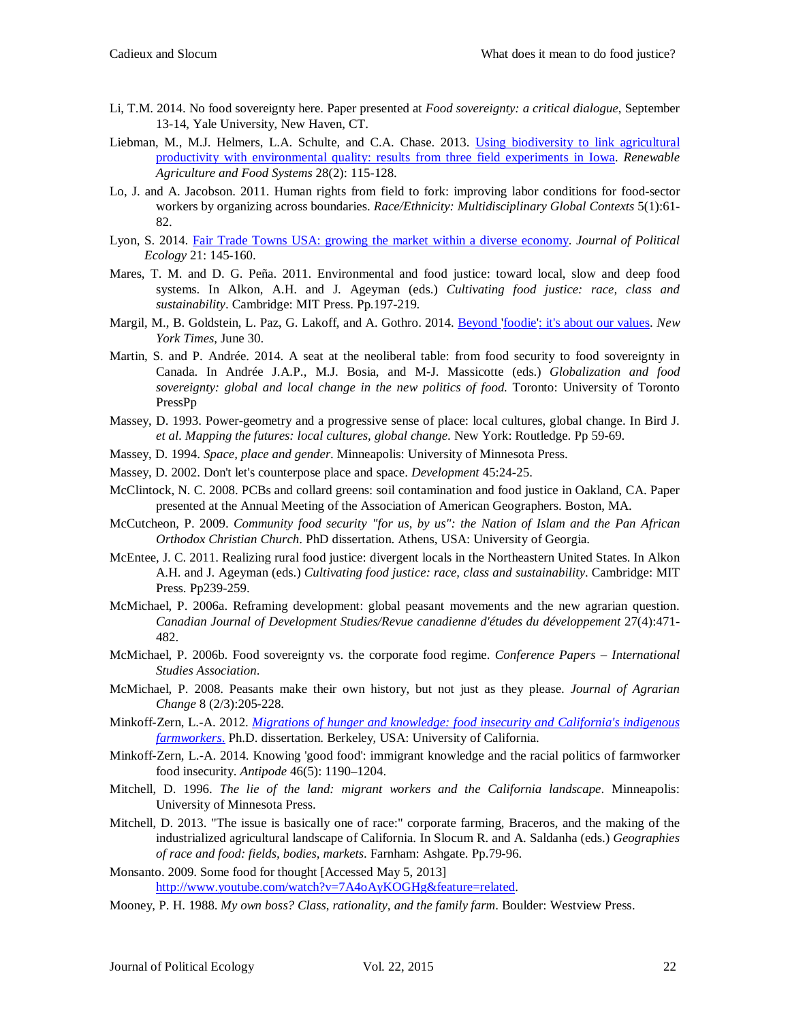- Li, T.M. 2014. No food sovereignty here. Paper presented at *Food sovereignty: a critical dialogue*, September 13-14, Yale University, New Haven, CT.
- Liebman, M., M.J. Helmers, L.A. Schulte, and C.A. Chase. 2013. [Using biodiversity to link agricultural](http://lib.dr.iastate.edu/cgi/viewcontent.cgi?article=1656&context=abe_eng_pubs)  [productivity with environmental quality: results from three field experiments in Iowa.](http://lib.dr.iastate.edu/cgi/viewcontent.cgi?article=1656&context=abe_eng_pubs) *Renewable Agriculture and Food Systems* 28(2): 115-128.
- Lo, J. and A. Jacobson. 2011. Human rights from field to fork: improving labor conditions for food-sector workers by organizing across boundaries. *Race/Ethnicity: Multidisciplinary Global Contexts* 5(1):61- 82.
- Lyon, S. 2014. [Fair Trade Towns USA: growing the market within a diverse economy.](http://jpe.library.arizona.edu/volume_21/Lyon.pdf) *Journal of Political Ecology* 21: 145-160.
- Mares, T. M. and D. G. Peña. 2011. Environmental and food justice: toward local, slow and deep food systems. In Alkon, A.H. and J. Ageyman (eds.) *Cultivating food justice: race, class and sustainability*. Cambridge: MIT Press. Pp.197-219.
- Margil, M., B. Goldstein, L. Paz, G. Lakoff, and A. Gothro. 2014. [Beyond 'foodie': it's about our values.](http://www.nytimes.com/2014/07/01/opinion/beyond-foodie-its-about-our-values.html?_r=0) *New York Times*, June 30.
- Martin, S. and P. Andrée. 2014. A seat at the neoliberal table: from food security to food sovereignty in Canada. In Andrée J.A.P., M.J. Bosia, and M-J. Massicotte (eds.) *Globalization and food sovereignty: global and local change in the new politics of food*. Toronto: University of Toronto PressPp
- Massey, D. 1993. Power-geometry and a progressive sense of place: local cultures, global change. In Bird J. *et al. Mapping the futures: local cultures, global change*. New York: Routledge. Pp 59-69.
- Massey, D. 1994. *Space, place and gender*. Minneapolis: University of Minnesota Press.
- Massey, D. 2002. Don't let's counterpose place and space. *Development* 45:24-25.
- McClintock, N. C. 2008. PCBs and collard greens: soil contamination and food justice in Oakland, CA. Paper presented at the Annual Meeting of the Association of American Geographers. Boston, MA.
- McCutcheon, P. 2009. *Community food security "for us, by us": the Nation of Islam and the Pan African Orthodox Christian Church*. PhD dissertation. Athens, USA: University of Georgia.
- McEntee, J. C. 2011. Realizing rural food justice: divergent locals in the Northeastern United States. In Alkon A.H. and J. Ageyman (eds.) *Cultivating food justice: race, class and sustainability*. Cambridge: MIT Press. Pp239-259.
- McMichael, P. 2006a. Reframing development: global peasant movements and the new agrarian question. *Canadian Journal of Development Studies/Revue canadienne d'études du développement* 27(4):471- 482.
- McMichael, P. 2006b. Food sovereignty vs. the corporate food regime. *Conference Papers – International Studies Association*.
- McMichael, P. 2008. Peasants make their own history, but not just as they please. *Journal of Agrarian Change* 8 (2/3):205-228.
- Minkoff-Zern, L.-A. 2012. *[Migrations of hunger and knowledge: food insecurity and California's indigenous](https://escholarship.org/uc/item/0j5193z4)  [farmworkers](https://escholarship.org/uc/item/0j5193z4)*. Ph.D. dissertation. Berkeley, USA: University of California.
- Minkoff-Zern, L.-A. 2014. Knowing 'good food': immigrant knowledge and the racial politics of farmworker food insecurity. *Antipode* 46(5): 1190–1204.
- Mitchell, D. 1996. *The lie of the land: migrant workers and the California landscape*. Minneapolis: University of Minnesota Press.
- Mitchell, D. 2013. "The issue is basically one of race:" corporate farming, Braceros, and the making of the industrialized agricultural landscape of California. In Slocum R. and A. Saldanha (eds.) *Geographies of race and food: fields, bodies, markets*. Farnham: Ashgate. Pp.79-96.
- Monsanto. 2009. Some food for thought [Accessed May 5, 2013] [http://www.youtube.com/watch?v=7A4oAyKOGHg&feature=related.](http://www.youtube.com/watch?v=7A4oAyKOGHg&feature=related)
- Mooney, P. H. 1988. *My own boss? Class, rationality, and the family farm*. Boulder: Westview Press.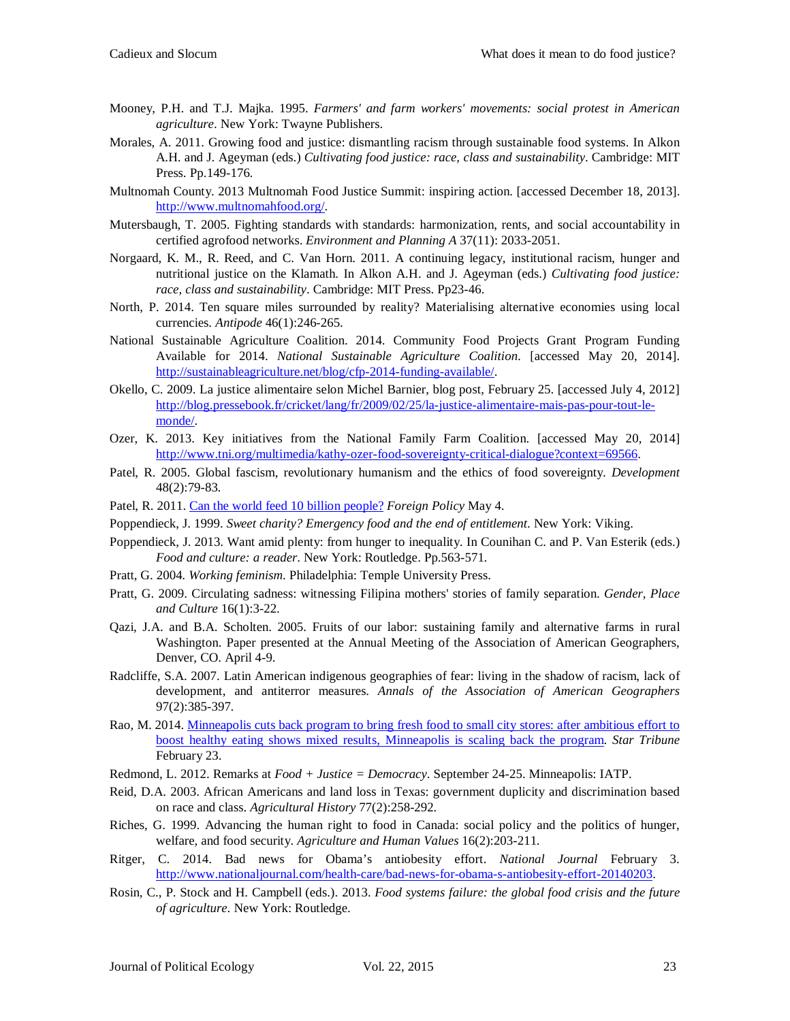- Mooney, P.H. and T.J. Majka. 1995. *Farmers' and farm workers' movements: social protest in American agriculture*. New York: Twayne Publishers.
- Morales, A. 2011. Growing food and justice: dismantling racism through sustainable food systems. In Alkon A.H. and J. Ageyman (eds.) *Cultivating food justice: race, class and sustainability*. Cambridge: MIT Press. Pp.149-176.
- Multnomah County. 2013 Multnomah Food Justice Summit: inspiring action. [accessed December 18, 2013]. [http://www.multnomahfood.org/.](http://www.multnomahfood.org/)
- Mutersbaugh, T. 2005. Fighting standards with standards: harmonization, rents, and social accountability in certified agrofood networks. *Environment and Planning A* 37(11): 2033-2051.
- Norgaard, K. M., R. Reed, and C. Van Horn. 2011. A continuing legacy, institutional racism, hunger and nutritional justice on the Klamath. In Alkon A.H. and J. Ageyman (eds.) *Cultivating food justice: race, class and sustainability*. Cambridge: MIT Press. Pp23-46.
- North, P. 2014. Ten square miles surrounded by reality? Materialising alternative economies using local currencies. *Antipode* 46(1):246-265.
- National Sustainable Agriculture Coalition. 2014. Community Food Projects Grant Program Funding Available for 2014. *National Sustainable Agriculture Coalition*. [accessed May 20, 2014]. [http://sustainableagriculture.net/blog/cfp-2014-funding-available/.](http://sustainableagriculture.net/blog/cfp-2014-funding-available/)
- Okello, C. 2009. La justice alimentaire selon Michel Barnier, blog post, February 25. [accessed July 4, 2012] [http://blog.pressebook.fr/cricket/lang/fr/2009/02/25/la-justice-alimentaire-mais-pas-pour-tout-le](http://blog.pressebook.fr/cricket/lang/fr/2009/02/25/la-justice-alimentaire-mais-pas-pour-tout-le-monde/)[monde/.](http://blog.pressebook.fr/cricket/lang/fr/2009/02/25/la-justice-alimentaire-mais-pas-pour-tout-le-monde/)
- Ozer, K. 2013. Key initiatives from the National Family Farm Coalition. [accessed May 20, 2014] [http://www.tni.org/multimedia/kathy-ozer-food-sovereignty-critical-dialogue?context=69566.](http://www.tni.org/multimedia/kathy-ozer-food-sovereignty-critical-dialogue?context=69566)
- Patel, R. 2005. Global fascism, revolutionary humanism and the ethics of food sovereignty. *Development* 48(2):79-83.
- Patel, R. 2011[. Can the world feed 10 billion people?](http://foreignpolicy.com/2011/05/04/can-the-world-feed-10-billion-people/) *Foreign Policy* May 4.
- Poppendieck, J. 1999. *Sweet charity? Emergency food and the end of entitlement*. New York: Viking.
- Poppendieck, J. 2013. Want amid plenty: from hunger to inequality. In Counihan C. and P. Van Esterik (eds.) *Food and culture: a reader*. New York: Routledge. Pp.563-571.
- Pratt, G. 2004. *Working feminism*. Philadelphia: Temple University Press.
- Pratt, G. 2009. Circulating sadness: witnessing Filipina mothers' stories of family separation. *Gender, Place and Culture* 16(1):3-22.
- Qazi, J.A. and B.A. Scholten. 2005. Fruits of our labor: sustaining family and alternative farms in rural Washington. Paper presented at the Annual Meeting of the Association of American Geographers, Denver, CO. April 4-9.
- Radcliffe, S.A. 2007. Latin American indigenous geographies of fear: living in the shadow of racism, lack of development, and antiterror measures. *Annals of the Association of American Geographers* 97(2):385-397.
- Rao, M. 2014. [Minneapolis cuts back program to bring fresh food to small city stores: after ambitious effort to](http://www.startribune.com/local/minneapolis/246718021.html)  [boost healthy eating shows mixed results, Minneapolis is scaling back the program.](http://www.startribune.com/local/minneapolis/246718021.html) *Star Tribune* February 23.
- Redmond, L. 2012. Remarks at *Food + Justice = Democracy*. September 24-25. Minneapolis: IATP.
- Reid, D.A. 2003. African Americans and land loss in Texas: government duplicity and discrimination based on race and class. *Agricultural History* 77(2):258-292.
- Riches, G. 1999. Advancing the human right to food in Canada: social policy and the politics of hunger, welfare, and food security. *Agriculture and Human Values* 16(2):203-211.
- Ritger, C. 2014. Bad news for Obama's antiobesity effort. *National Journal* February 3. [http://www.nationaljournal.com/health-care/bad-news-for-obama-s-antiobesity-effort-20140203.](http://www.nationaljournal.com/health-care/bad-news-for-obama-s-antiobesity-effort-20140203)
- Rosin, C., P. Stock and H. Campbell (eds.). 2013. *Food systems failure: the global food crisis and the future of agriculture*. New York: Routledge.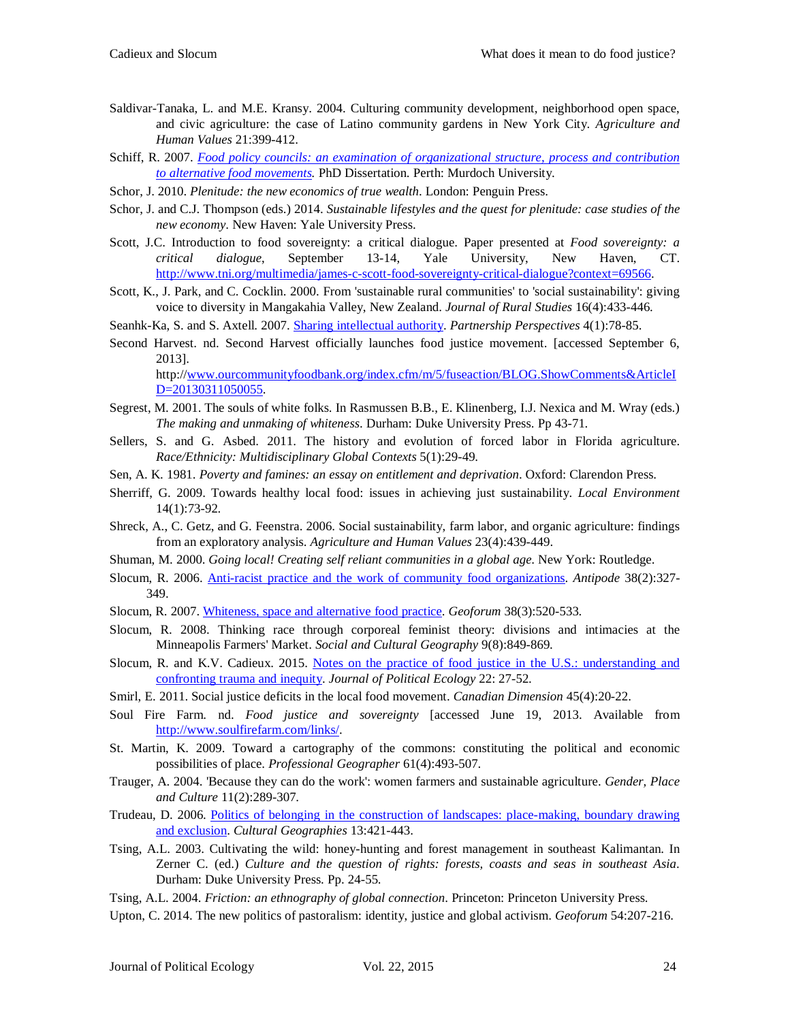- Saldivar-Tanaka, L. and M.E. Kransy. 2004. Culturing community development, neighborhood open space, and civic agriculture: the case of Latino community gardens in New York City. *Agriculture and Human Values* 21:399-412.
- Schiff, R. 2007. *[Food policy councils: an examination of organizational structure, process and contribution](http://researchrepository.murdoch.edu.au/293/)  [to alternative food movements.](http://researchrepository.murdoch.edu.au/293/)* PhD Dissertation. Perth: Murdoch University.
- Schor, J. 2010. *Plenitude: the new economics of true wealth*. London: Penguin Press.
- Schor, J. and C.J. Thompson (eds.) 2014. *Sustainable lifestyles and the quest for plenitude: case studies of the new economy*. New Haven: Yale University Press.
- Scott, J.C. Introduction to food sovereignty: a critical dialogue. Paper presented at *Food sovereignty: a critical dialogue*, September 13-14, Yale University, New Haven, CT. [http://www.tni.org/multimedia/james-c-scott-food-sovereignty-critical-dialogue?context=69566.](http://www.tni.org/multimedia/james-c-scott-food-sovereignty-critical-dialogue?context=69566)
- Scott, K., J. Park, and C. Cocklin. 2000. From 'sustainable rural communities' to 'social sustainability': giving voice to diversity in Mangakahia Valley, New Zealand. *Journal of Rural Studies* 16(4):433-446.
- Seanhk-Ka, S. and S. Axtell. 2007. [Sharing intellectual authority.](http://depts.washington.edu/ccph/pdf_files/PP-W07-Seanhk-ka.pdf) *Partnership Perspectives* 4(1):78-85.
- Second Harvest. nd. Second Harvest officially launches food justice movement. [accessed September 6, 2013].

http:/[/www.ourcommunityfoodbank.org/index.cfm/m/5/fuseaction/BLOG.ShowComments&ArticleI](http://www.ourcommunityfoodbank.org/index.cfm/m/5/fuseaction/BLOG.ShowComments&ArticleID=20130311050055) [D=20130311050055.](http://www.ourcommunityfoodbank.org/index.cfm/m/5/fuseaction/BLOG.ShowComments&ArticleID=20130311050055)

- Segrest, M. 2001. The souls of white folks. In Rasmussen B.B., E. Klinenberg, I.J. Nexica and M. Wray (eds.) *The making and unmaking of whiteness*. Durham: Duke University Press. Pp 43-71.
- Sellers, S. and G. Asbed. 2011. The history and evolution of forced labor in Florida agriculture. *Race/Ethnicity: Multidisciplinary Global Contexts* 5(1):29-49.
- Sen, A. K. 1981. *Poverty and famines: an essay on entitlement and deprivation*. Oxford: Clarendon Press.
- Sherriff, G. 2009. Towards healthy local food: issues in achieving just sustainability. *Local Environment* 14(1):73-92.
- Shreck, A., C. Getz, and G. Feenstra. 2006. Social sustainability, farm labor, and organic agriculture: findings from an exploratory analysis. *Agriculture and Human Values* 23(4):439-449.
- Shuman, M. 2000. *Going local! Creating self reliant communities in a global age*. New York: Routledge.
- Slocum, R. 2006. [Anti-racist practice and the work of community food organizations.](https://www.academia.edu/9052240/Antiracist_practice_and_the_work_of_community_food_organizations) *Antipode* 38(2):327- 349.
- Slocum, R. 2007. [Whiteness, space and alternative food practice.](https://www.academia.edu/9052262/Whiteness_space_and_alternative_food_practice) *Geoforum* 38(3):520-533.
- Slocum, R. 2008. Thinking race through corporeal feminist theory: divisions and intimacies at the Minneapolis Farmers' Market. *Social and Cultural Geography* 9(8):849-869.
- Slocum, R. and K.V. Cadieux. 2015. [Notes on the practice of food justice in the U.S.: understanding and](http://jpe.library.arizona.edu/volume_22/Slocumcadieux.pdf)  [confronting trauma and inequity.](http://jpe.library.arizona.edu/volume_22/Slocumcadieux.pdf) *Journal of Political Ecology* 22: 27-52.
- Smirl, E. 2011. Social justice deficits in the local food movement. *Canadian Dimension* 45(4):20-22.
- Soul Fire Farm. nd. *Food justice and sovereignty* [accessed June 19, 2013. Available from [http://www.soulfirefarm.com/links/.](http://www.soulfirefarm.com/links/)
- St. Martin, K. 2009. Toward a cartography of the commons: constituting the political and economic possibilities of place. *Professional Geographer* 61(4):493-507.
- Trauger, A. 2004. 'Because they can do the work': women farmers and sustainable agriculture. *Gender, Place and Culture* 11(2):289-307.
- Trudeau, D. 2006. [Politics of belonging in the construction of landscapes: place-making, boundary drawing](http://www.ssoar.info/ssoar/bitstream/handle/document/23283/ssoar-cultgeo-2006-3-trudeau-politics_of_belonging_in_the.pdf?sequence=1)  [and exclusion.](http://www.ssoar.info/ssoar/bitstream/handle/document/23283/ssoar-cultgeo-2006-3-trudeau-politics_of_belonging_in_the.pdf?sequence=1) *Cultural Geographies* 13:421-443.
- Tsing, A.L. 2003. Cultivating the wild: honey-hunting and forest management in southeast Kalimantan. In Zerner C. (ed.) *Culture and the question of rights: forests, coasts and seas in southeast Asia*. Durham: Duke University Press. Pp. 24-55.
- Tsing, A.L. 2004. *Friction: an ethnography of global connection*. Princeton: Princeton University Press.
- Upton, C. 2014. The new politics of pastoralism: identity, justice and global activism. *Geoforum* 54:207-216.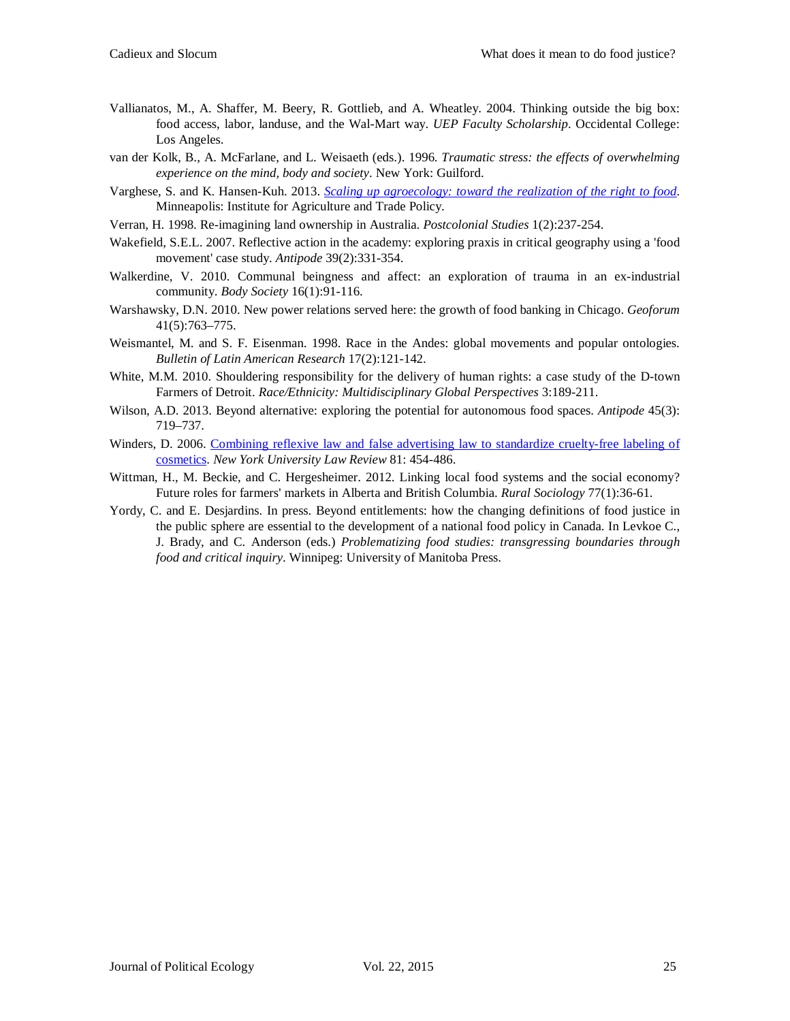- Vallianatos, M., A. Shaffer, M. Beery, R. Gottlieb, and A. Wheatley. 2004. Thinking outside the big box: food access, labor, landuse, and the Wal-Mart way. *UEP Faculty Scholarship*. Occidental College: Los Angeles.
- van der Kolk, B., A. McFarlane, and L. Weisaeth (eds.). 1996. *Traumatic stress: the effects of overwhelming experience on the mind, body and society*. New York: Guilford.
- Varghese, S. and K. Hansen-Kuh. 2013. *[Scaling up agroecology: toward the realization of the right to food](http://www.iatp.org/files/2013_11_07_ScalingUpAgroecology_SV.pdf)*. Minneapolis: Institute for Agriculture and Trade Policy.
- Verran, H. 1998. Re-imagining land ownership in Australia. *Postcolonial Studies* 1(2):237-254.
- Wakefield, S.E.L. 2007. Reflective action in the academy: exploring praxis in critical geography using a 'food movement' case study. *Antipode* 39(2):331-354.
- Walkerdine, V. 2010. Communal beingness and affect: an exploration of trauma in an ex-industrial community. *Body Society* 16(1):91-116.
- Warshawsky, D.N. 2010. New power relations served here: the growth of food banking in Chicago. *Geoforum* 41(5):763–775.
- Weismantel, M. and S. F. Eisenman. 1998. Race in the Andes: global movements and popular ontologies. *Bulletin of Latin American Research* 17(2):121-142.
- White, M.M. 2010. Shouldering responsibility for the delivery of human rights: a case study of the D-town Farmers of Detroit. *Race/Ethnicity: Multidisciplinary Global Perspectives* 3:189-211.
- Wilson, A.D. 2013. Beyond alternative: exploring the potential for autonomous food spaces. *Antipode* 45(3): 719–737.
- Winders, D. 2006. Combining reflexive law and false advertising law to standardize cruelty-free labeling of [cosmetics.](http://www.nyulawreview.org/sites/default/files/pdf/5_1.pdf) *New York University Law Review* 81: 454-486.
- Wittman, H., M. Beckie, and C. Hergesheimer. 2012. Linking local food systems and the social economy? Future roles for farmers' markets in Alberta and British Columbia. *Rural Sociology* 77(1):36-61.
- Yordy, C. and E. Desjardins. In press. Beyond entitlements: how the changing definitions of food justice in the public sphere are essential to the development of a national food policy in Canada. In Levkoe C., J. Brady, and C. Anderson (eds.) *Problematizing food studies: transgressing boundaries through food and critical inquiry*. Winnipeg: University of Manitoba Press.